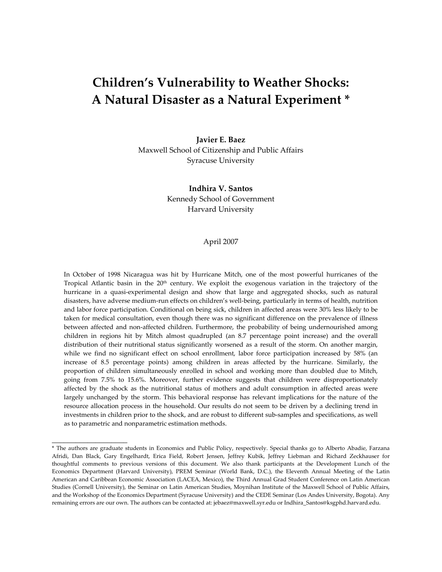# **Children's Vulnerability to Weather Shocks: A Natural Disaster as a Natural Experiment \***

**Javier E. Baez**  Maxwell School of Citizenship and Public Affairs Syracuse University

> **Indhira V. Santos**  Kennedy School of Government Harvard University

#### April 2007

In October of 1998 Nicaragua was hit by Hurricane Mitch, one of the most powerful hurricanes of the Tropical Atlantic basin in the 20<sup>th</sup> century. We exploit the exogenous variation in the trajectory of the hurricane in a quasi-experimental design and show that large and aggregated shocks, such as natural disasters, have adverse medium‐run effects on children's well‐being, particularly in terms of health, nutrition and labor force participation. Conditional on being sick, children in affected areas were 30% less likely to be taken for medical consultation, even though there was no significant difference on the prevalence of illness between affected and non-affected children. Furthermore, the probability of being undernourished among children in regions hit by Mitch almost quadrupled (an 8.7 percentage point increase) and the overall distribution of their nutritional status significantly worsened as a result of the storm. On another margin, while we find no significant effect on school enrollment, labor force participation increased by 58% (an increase of 8.5 percentage points) among children in areas affected by the hurricane. Similarly, the proportion of children simultaneously enrolled in school and working more than doubled due to Mitch, going from 7.5% to 15.6%. Moreover, further evidence suggests that children were disproportionately affected by the shock as the nutritional status of mothers and adult consumption in affected areas were largely unchanged by the storm. This behavioral response has relevant implications for the nature of the resource allocation process in the household. Our results do not seem to be driven by a declining trend in investments in children prior to the shock, and are robust to different sub‐samples and specifications, as well as to parametric and nonparametric estimation methods.

\_\_\_\_\_\_\_\_\_\_\_\_\_\_\_\_\_\_\_

<sup>\*</sup> The authors are graduate students in Economics and Public Policy, respectively. Special thanks go to Alberto Abadie, Farzana Afridi, Dan Black, Gary Engelhardt, Erica Field, Robert Jensen, Jeffrey Kubik, Jeffrey Liebman and Richard Zeckhauser for thoughtful comments to previous versions of this document. We also thank participants at the Development Lunch of the Economics Department (Harvard University), PREM Seminar (World Bank, D.C.), the Eleventh Annual Meeting of the Latin American and Caribbean Economic Association (LACEA, Mexico), the Third Annual Grad Student Conference on Latin American Studies (Cornell University), the Seminar on Latin American Studies, Moynihan Institute of the Maxwell School of Public Affairs, and the Workshop of the Economics Department (Syracuse University) and the CEDE Seminar (Los Andes University, Bogota). Any remaining errors are our own. The authors can be contacted at: [jebaez@maxwell.syr.edu](mailto:jebaez@maxwell.syr.edu) or [Indhira\\_Santos@ksgphd.harvard.edu.](mailto:Indhira_Santos@ksgphd.harvard.edu)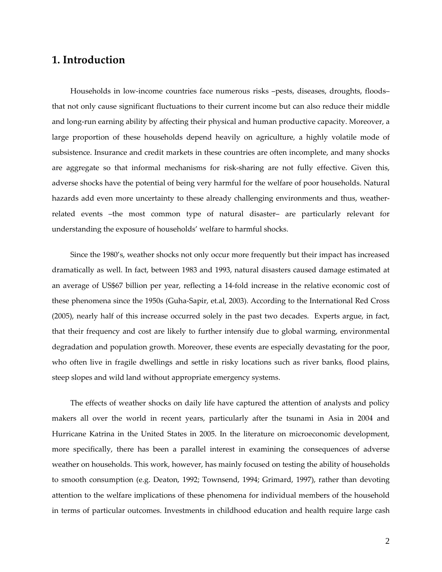## **1. Introduction**

Households in low‐income countries face numerous risks –pests, diseases, droughts, floods– that not only cause significant fluctuations to their current income but can also reduce their middle and long-run earning ability by affecting their physical and human productive capacity. Moreover, a large proportion of these households depend heavily on agriculture, a highly volatile mode of subsistence. Insurance and credit markets in these countries are often incomplete, and many shocks are aggregate so that informal mechanisms for risk‐sharing are not fully effective. Given this, adverse shocks have the potential of being very harmful for the welfare of poor households. Natural hazards add even more uncertainty to these already challenging environments and thus, weatherrelated events –the most common type of natural disaster– are particularly relevant for understanding the exposure of households' welfare to harmful shocks.

Since the 1980's, weather shocks not only occur more frequently but their impact has increased dramatically as well. In fact, between 1983 and 1993, natural disasters caused damage estimated at an average of US\$67 billion per year, reflecting a 14‐fold increase in the relative economic cost of these phenomena since the 1950s (Guha‐Sapir, et.al, 2003). According to the International Red Cross (2005), nearly half of this increase occurred solely in the past two decades. Experts argue, in fact, that their frequency and cost are likely to further intensify due to global warming, environmental degradation and population growth. Moreover, these events are especially devastating for the poor, who often live in fragile dwellings and settle in risky locations such as river banks, flood plains, steep slopes and wild land without appropriate emergency systems.

The effects of weather shocks on daily life have captured the attention of analysts and policy makers all over the world in recent years, particularly after the tsunami in Asia in 2004 and Hurricane Katrina in the United States in 2005. In the literature on microeconomic development, more specifically, there has been a parallel interest in examining the consequences of adverse weather on households. This work, however, has mainly focused on testing the ability of households to smooth consumption (e.g. Deaton, 1992; Townsend, 1994; Grimard, 1997), rather than devoting attention to the welfare implications of these phenomena for individual members of the household in terms of particular outcomes. Investments in childhood education and health require large cash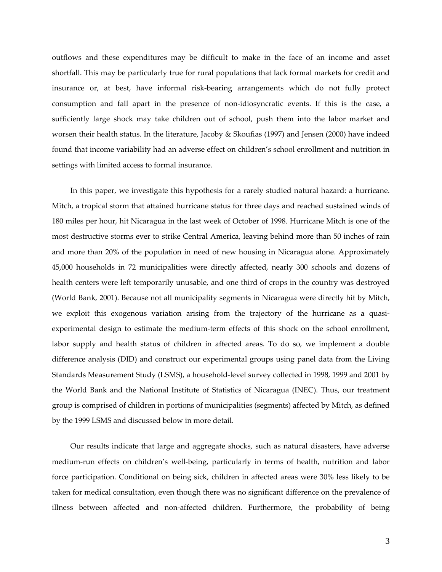outflows and these expenditures may be difficult to make in the face of an income and asset shortfall. This may be particularly true for rural populations that lack formal markets for credit and insurance or, at best, have informal risk‐bearing arrangements which do not fully protect consumption and fall apart in the presence of non-idiosyncratic events. If this is the case, a sufficiently large shock may take children out of school, push them into the labor market and worsen their health status. In the literature, Jacoby & Skoufias (1997) and Jensen (2000) have indeed found that income variability had an adverse effect on children's school enrollment and nutrition in settings with limited access to formal insurance.

In this paper, we investigate this hypothesis for a rarely studied natural hazard: a hurricane. Mitch, a tropical storm that attained hurricane status for three days and reached sustained winds of 180 miles per hour, hit Nicaragua in the last week of October of 1998. Hurricane Mitch is one of the most destructive storms ever to strike Central America, leaving behind more than 50 inches of rain and more than 20% of the population in need of new housing in Nicaragua alone. Approximately 45,000 households in 72 municipalities were directly affected, nearly 300 schools and dozens of health centers were left temporarily unusable, and one third of crops in the country was destroyed (World Bank, 2001). Because not all municipality segments in Nicaragua were directly hit by Mitch, we exploit this exogenous variation arising from the trajectory of the hurricane as a quasiexperimental design to estimate the medium‐term effects of this shock on the school enrollment, labor supply and health status of children in affected areas. To do so, we implement a double difference analysis (DID) and construct our experimental groups using panel data from the Living Standards Measurement Study (LSMS), a household-level survey collected in 1998, 1999 and 2001 by the World Bank and the National Institute of Statistics of Nicaragua (INEC). Thus, our treatment group is comprised of children in portions of municipalities (segments) affected by Mitch, as defined by the 1999 LSMS and discussed below in more detail.

Our results indicate that large and aggregate shocks, such as natural disasters, have adverse medium‐run effects on children's well‐being, particularly in terms of health, nutrition and labor force participation. Conditional on being sick, children in affected areas were 30% less likely to be taken for medical consultation, even though there was no significant difference on the prevalence of illness between affected and non-affected children. Furthermore, the probability of being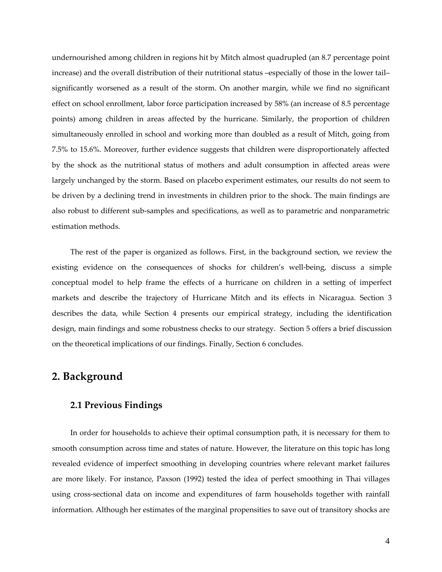undernourished among children in regions hit by Mitch almost quadrupled (an 8.7 percentage point increase) and the overall distribution of their nutritional status –especially of those in the lower tail– significantly worsened as a result of the storm. On another margin, while we find no significant effect on school enrollment, labor force participation increased by 58% (an increase of 8.5 percentage points) among children in areas affected by the hurricane. Similarly, the proportion of children simultaneously enrolled in school and working more than doubled as a result of Mitch, going from 7.5% to 15.6%. Moreover, further evidence suggests that children were disproportionately affected by the shock as the nutritional status of mothers and adult consumption in affected areas were largely unchanged by the storm. Based on placebo experiment estimates, our results do not seem to be driven by a declining trend in investments in children prior to the shock. The main findings are also robust to different sub‐samples and specifications, as well as to parametric and nonparametric estimation methods.

The rest of the paper is organized as follows. First, in the background section, we review the existing evidence on the consequences of shocks for children's well-being, discuss a simple conceptual model to help frame the effects of a hurricane on children in a setting of imperfect markets and describe the trajectory of Hurricane Mitch and its effects in Nicaragua. Section 3 describes the data, while Section 4 presents our empirical strategy, including the identification design, main findings and some robustness checks to our strategy. Section 5 offers a brief discussion on the theoretical implications of our findings. Finally, Section 6 concludes.

## **2. Background**

## **2.1 Previous Findings**

In order for households to achieve their optimal consumption path, it is necessary for them to smooth consumption across time and states of nature. However, the literature on this topic has long revealed evidence of imperfect smoothing in developing countries where relevant market failures are more likely. For instance, Paxson (1992) tested the idea of perfect smoothing in Thai villages using cross‐sectional data on income and expenditures of farm households together with rainfall information. Although her estimates of the marginal propensities to save out of transitory shocks are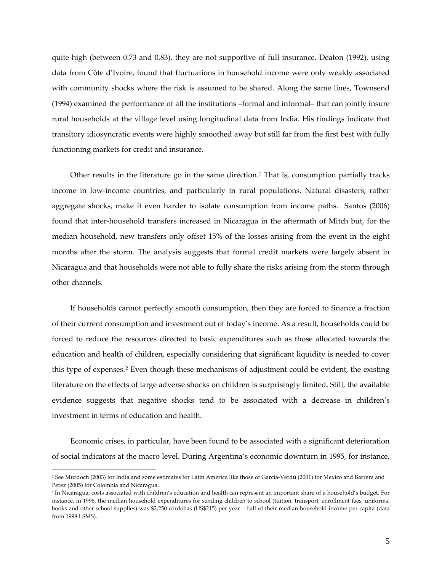quite high (between 0.73 and 0.83), they are not supportive of full insurance. Deaton (1992), using data from Côte d'Ivoire, found that fluctuations in household income were only weakly associated with community shocks where the risk is assumed to be shared. Along the same lines, Townsend (1994) examined the performance of all the institutions –formal and informal– that can jointly insure rural households at the village level using longitudinal data from India. His findings indicate that transitory idiosyncratic events were highly smoothed away but still far from the first best with fully functioning markets for credit and insurance.

Other results in the literature go in the same direction.<sup>[1](#page-4-0)</sup> That is, consumption partially tracks income in low‐income countries, and particularly in rural populations. Natural disasters, rather aggregate shocks, make it even harder to isolate consumption from income paths. Santos (2006) found that inter‐household transfers increased in Nicaragua in the aftermath of Mitch but, for the median household, new transfers only offset 15% of the losses arising from the event in the eight months after the storm. The analysis suggests that formal credit markets were largely absent in Nicaragua and that households were not able to fully share the risks arising from the storm through other channels.

If households cannot perfectly smooth consumption, then they are forced to finance a fraction of their current consumption and investment out of today's income. As a result, households could be forced to reduce the resources directed to basic expenditures such as those allocated towards the education and health of children, especially considering that significant liquidity is needed to cover this type of expenses.[2](#page-4-1) Even though these mechanisms of adjustment could be evident, the existing literature on the effects of large adverse shocks on children is surprisingly limited. Still, the available evidence suggests that negative shocks tend to be associated with a decrease in children's investment in terms of education and health.

Economic crises, in particular, have been found to be associated with a significant deterioration of social indicators at the macro level. During Argentina's economic downturn in 1995, for instance,

<span id="page-4-0"></span><sup>1</sup> See Murdoch (2003) for India and some estimates for Latin America like those of Garcia‐Verdú (2001) for Mexico and Barrera and Perez (2005) for Colombia and Nicaragua.

<span id="page-4-1"></span><sup>2</sup> In Nicaragua, costs associated with children's education and health can represent an important share of a household's budget. For instance, in 1998, the median household expenditures for sending children to school (tuition, transport, enrollment fees, uniforms, books and other school supplies) was \$2,250 córdobas (US\$215) per year – half of their median household income per capita (data from 1998 LSMS).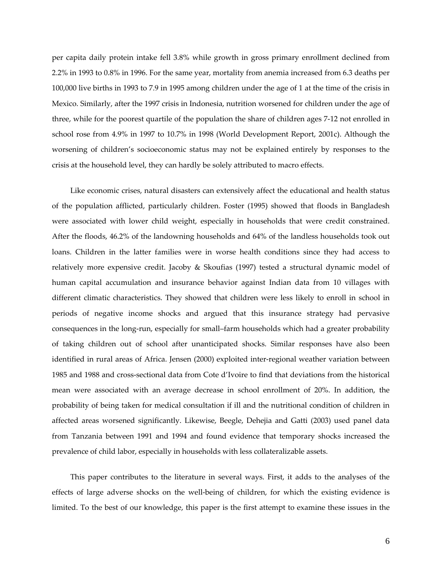per capita daily protein intake fell 3.8% while growth in gross primary enrollment declined from 2.2% in 1993 to 0.8% in 1996. For the same year, mortality from anemia increased from 6.3 deaths per 100,000 live births in 1993 to 7.9 in 1995 among children under the age of 1 at the time of the crisis in Mexico. Similarly, after the 1997 crisis in Indonesia, nutrition worsened for children under the age of three, while for the poorest quartile of the population the share of children ages 7‐12 not enrolled in school rose from 4.9% in 1997 to 10.7% in 1998 (World Development Report, 2001c). Although the worsening of children's socioeconomic status may not be explained entirely by responses to the crisis at the household level, they can hardly be solely attributed to macro effects.

Like economic crises, natural disasters can extensively affect the educational and health status of the population afflicted, particularly children. Foster (1995) showed that floods in Bangladesh were associated with lower child weight, especially in households that were credit constrained. After the floods, 46.2% of the landowning households and 64% of the landless households took out loans. Children in the latter families were in worse health conditions since they had access to relatively more expensive credit. Jacoby & Skoufias (1997) tested a structural dynamic model of human capital accumulation and insurance behavior against Indian data from 10 villages with different climatic characteristics. They showed that children were less likely to enroll in school in periods of negative income shocks and argued that this insurance strategy had pervasive consequences in the long-run, especially for small–farm households which had a greater probability of taking children out of school after unanticipated shocks. Similar responses have also been identified in rural areas of Africa. Jensen (2000) exploited inter‐regional weather variation between 1985 and 1988 and cross‐sectional data from Cote d'Ivoire to find that deviations from the historical mean were associated with an average decrease in school enrollment of 20%. In addition, the probability of being taken for medical consultation if ill and the nutritional condition of children in affected areas worsened significantly. Likewise, Beegle, Dehejia and Gatti (2003) used panel data from Tanzania between 1991 and 1994 and found evidence that temporary shocks increased the prevalence of child labor, especially in households with less collateralizable assets.

This paper contributes to the literature in several ways. First, it adds to the analyses of the effects of large adverse shocks on the well-being of children, for which the existing evidence is limited. To the best of our knowledge, this paper is the first attempt to examine these issues in the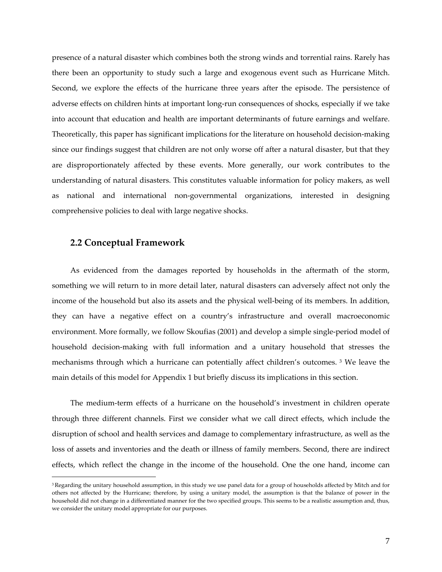presence of a natural disaster which combines both the strong winds and torrential rains. Rarely has there been an opportunity to study such a large and exogenous event such as Hurricane Mitch. Second, we explore the effects of the hurricane three years after the episode. The persistence of adverse effects on children hints at important long‐run consequences of shocks, especially if we take into account that education and health are important determinants of future earnings and welfare. Theoretically, this paper has significant implications for the literature on household decision‐making since our findings suggest that children are not only worse off after a natural disaster, but that they are disproportionately affected by these events. More generally, our work contributes to the understanding of natural disasters. This constitutes valuable information for policy makers, as well as national and international non‐governmental organizations, interested in designing comprehensive policies to deal with large negative shocks.

## **2.2 Conceptual Framework**

 $\overline{a}$ 

As evidenced from the damages reported by households in the aftermath of the storm, something we will return to in more detail later, natural disasters can adversely affect not only the income of the household but also its assets and the physical well-being of its members. In addition, they can have a negative effect on a country's infrastructure and overall macroeconomic environment. More formally, we follow Skoufias (2001) and develop a simple single‐period model of household decision-making with full information and a unitary household that stresses the mechanisms through which a hurricane can potentially affect children's outcomes. [3](#page-6-0) We leave the main details of this model for Appendix 1 but briefly discuss its implications in this section.

The medium‐term effects of a hurricane on the household's investment in children operate through three different channels. First we consider what we call direct effects, which include the disruption of school and health services and damage to complementary infrastructure, as well as the loss of assets and inventories and the death or illness of family members. Second, there are indirect effects, which reflect the change in the income of the household. One the one hand, income can

<span id="page-6-0"></span><sup>&</sup>lt;sup>3</sup> Regarding the unitary household assumption, in this study we use panel data for a group of households affected by Mitch and for others not affected by the Hurricane; therefore, by using a unitary model, the assumption is that the balance of power in the household did not change in a differentiated manner for the two specified groups. This seems to be a realistic assumption and, thus, we consider the unitary model appropriate for our purposes.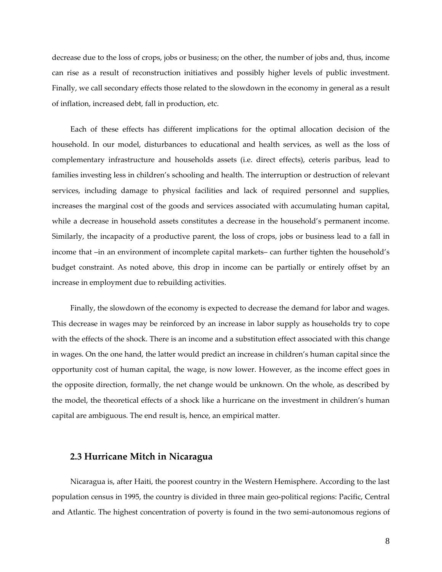decrease due to the loss of crops, jobs or business; on the other, the number of jobs and, thus, income can rise as a result of reconstruction initiatives and possibly higher levels of public investment. Finally, we call secondary effects those related to the slowdown in the economy in general as a result of inflation, increased debt, fall in production, etc.

Each of these effects has different implications for the optimal allocation decision of the household. In our model, disturbances to educational and health services, as well as the loss of complementary infrastructure and households assets (i.e. direct effects), ceteris paribus, lead to families investing less in children's schooling and health. The interruption or destruction of relevant services, including damage to physical facilities and lack of required personnel and supplies, increases the marginal cost of the goods and services associated with accumulating human capital, while a decrease in household assets constitutes a decrease in the household's permanent income. Similarly, the incapacity of a productive parent, the loss of crops, jobs or business lead to a fall in income that –in an environment of incomplete capital markets– can further tighten the household's budget constraint. As noted above, this drop in income can be partially or entirely offset by an increase in employment due to rebuilding activities.

Finally, the slowdown of the economy is expected to decrease the demand for labor and wages. This decrease in wages may be reinforced by an increase in labor supply as households try to cope with the effects of the shock. There is an income and a substitution effect associated with this change in wages. On the one hand, the latter would predict an increase in children's human capital since the opportunity cost of human capital, the wage, is now lower. However, as the income effect goes in the opposite direction, formally, the net change would be unknown. On the whole, as described by the model, the theoretical effects of a shock like a hurricane on the investment in children's human capital are ambiguous. The end result is, hence, an empirical matter.

## **2.3 Hurricane Mitch in Nicaragua**

Nicaragua is, after Haiti, the poorest country in the Western Hemisphere. According to the last population census in 1995, the country is divided in three main geo‐political regions: Pacific, Central and Atlantic. The highest concentration of poverty is found in the two semi-autonomous regions of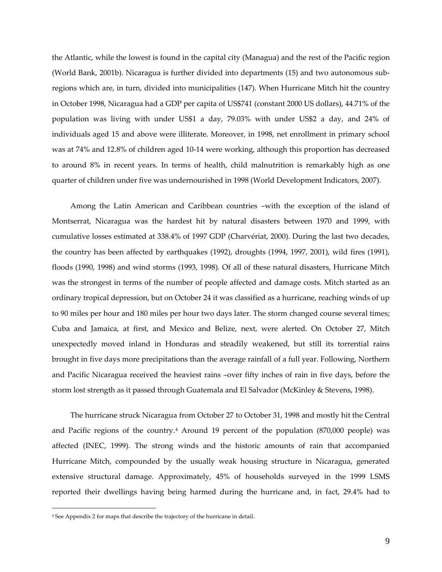<span id="page-8-0"></span>the Atlantic, while the lowest is found in the capital city (Managua) and the rest of the Pacific region (World Bank, 2001b). Nicaragua is further divided into departments (15) and two autonomous sub‐ regions which are, in turn, divided into municipalities (147). When Hurricane Mitch hit the country in October 1998, Nicaragua had a GDP per capita of US\$741 (constant 2000 US dollars), 44.71% of the population was living with under US\$1 a day, 79.03% with under US\$2 a day, and 24% of individuals aged 15 and above were illiterate. Moreover, in 1998, net enrollment in primary school was at 74% and 12.8% of children aged 10-14 were working, although this proportion has decreased to around 8% in recent years. In terms of health, child malnutrition is remarkably high as one quarter of children under five was undernourished in 1998 (World Development Indicators, 2007).

Among the Latin American and Caribbean countries –with the exception of the island of Montserrat, Nicaragua was the hardest hit by natural disasters between 1970 and 1999, with cumulative losses estimated at 338.4% of 1997 GDP (Charvériat, 2000). During the last two decades, the country has been affected by earthquakes (1992), droughts (1994, 1997, 2001), wild fires (1991), floods (1990, 1998) and wind storms (1993, 1998). Of all of these natural disasters, Hurricane Mitch was the strongest in terms of the number of people affected and damage costs. Mitch started as an ordinary tropical depression, but on October 24 it was classified as a hurricane, reaching winds of up to 90 miles per hour and 180 miles per hour two days later. The storm changed course several times; Cuba and Jamaica, at first, and Mexico and Belize, next, were alerted. On October 27, Mitch unexpectedly moved inland in Honduras and steadily weakened, but still its torrential rains brought in five days more precipitations than the average rainfall of a full year. Following, Northern and Pacific Nicaragua received the heaviest rains –over fifty inches of rain in five days, before the storm lost strength as it passed through Guatemala and El Salvador (McKinley & Stevens, 1998).

The hurricane struck Nicaragua from October 27 to October 31, 1998 and mostly hit the Central and Pacific regions of the country.<sup>[4](#page-8-0)</sup> Around 19 percent of the population  $(870,000 \text{ people})$  was affected (INEC, 1999). The strong winds and the historic amounts of rain that accompanied Hurricane Mitch, compounded by the usually weak housing structure in Nicaragua, generated extensive structural damage. Approximately, 45% of households surveyed in the 1999 LSMS reported their dwellings having being harmed during the hurricane and, in fact, 29.4% had to

<sup>4</sup> See Appendix 2 for maps that describe the trajectory of the hurricane in detail.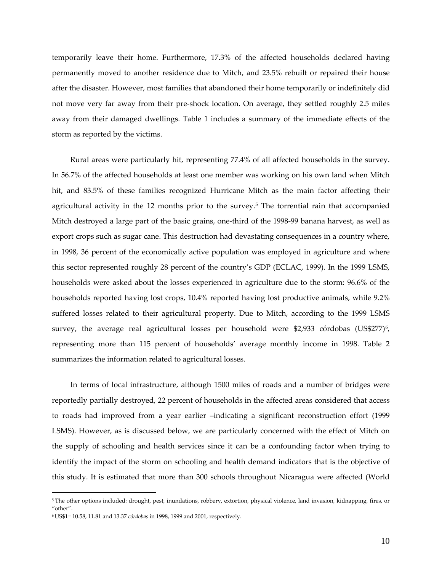<span id="page-9-0"></span>temporarily leave their home. Furthermore, 17.3% of the affected households declared having permanently moved to another residence due to Mitch, and 23.5% rebuilt or repaired their house after the disaster. However, most families that abandoned their home temporarily or indefinitely did not move very far away from their pre‐shock location. On average, they settled roughly 2.5 miles away from their damaged dwellings. Table 1 includes a summary of the immediate effects of the storm as reported by the victims.

Rural areas were particularly hit, representing 77.4% of all affected households in the survey. In 56.7% of the affected households at least one member was working on his own land when Mitch hit, and 83.5% of these families recognized Hurricane Mitch as the main factor affecting their agricultural activity in the 12 months prior to the survey.<sup>[5](#page-9-0)</sup> The torrential rain that accompanied Mitch destroyed a large part of the basic grains, one‐third of the 1998‐99 banana harvest, as well as export crops such as sugar cane. This destruction had devastating consequences in a country where, in 1998, 36 percent of the economically active population was employed in agriculture and where this sector represented roughly 28 percent of the country's GDP (ECLAC, 1999). In the 1999 LSMS, households were asked about the losses experienced in agriculture due to the storm: 96.6% of the households reported having lost crops, 10.4% reported having lost productive animals, while 9.2% suffered losses related to their agricultural property. Due to Mitch, according to the 1999 LSMS survey, the average real agricultural losses per household were \$2,933 córdobas (US\$277)<sup>[6](#page-9-0)</sup>, representing more than 115 percent of households' average monthly income in 1998. Table 2 summarizes the information related to agricultural losses.

In terms of local infrastructure, although 1500 miles of roads and a number of bridges were reportedly partially destroyed, 22 percent of households in the affected areas considered that access to roads had improved from a year earlier –indicating a significant reconstruction effort (1999 LSMS). However, as is discussed below, we are particularly concerned with the effect of Mitch on the supply of schooling and health services since it can be a confounding factor when trying to identify the impact of the storm on schooling and health demand indicators that is the objective of this study. It is estimated that more than 300 schools throughout Nicaragua were affected (World

<sup>5</sup> The other options included: drought, pest, inundations, robbery, extortion, physical violence, land invasion, kidnapping, fires, or "other".

<sup>6</sup> US\$1= 10.58, 11.81 and 13.37 *córdobas* in 1998, 1999 and 2001, respectively.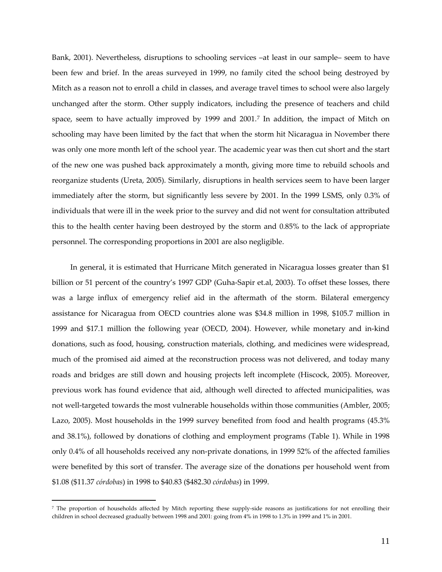<span id="page-10-0"></span>Bank, 2001). Nevertheless, disruptions to schooling services –at least in our sample– seem to have been few and brief. In the areas surveyed in 1999, no family cited the school being destroyed by Mitch as a reason not to enroll a child in classes, and average travel times to school were also largely unchanged after the storm. Other supply indicators, including the presence of teachers and child space, seem to have actually improved by 1999 and 2001.[7](#page-10-0) In addition, the impact of Mitch on schooling may have been limited by the fact that when the storm hit Nicaragua in November there was only one more month left of the school year. The academic year was then cut short and the start of the new one was pushed back approximately a month, giving more time to rebuild schools and reorganize students (Ureta, 2005). Similarly, disruptions in health services seem to have been larger immediately after the storm, but significantly less severe by 2001. In the 1999 LSMS, only 0.3% of individuals that were ill in the week prior to the survey and did not went for consultation attributed this to the health center having been destroyed by the storm and 0.85% to the lack of appropriate personnel. The corresponding proportions in 2001 are also negligible.

In general, it is estimated that Hurricane Mitch generated in Nicaragua losses greater than \$1 billion or 51 percent of the country's 1997 GDP (Guha‐Sapir et.al, 2003). To offset these losses, there was a large influx of emergency relief aid in the aftermath of the storm. Bilateral emergency assistance for Nicaragua from OECD countries alone was \$34.8 million in 1998, \$105.7 million in 1999 and \$17.1 million the following year (OECD, 2004). However, while monetary and in-kind donations, such as food, housing, construction materials, clothing, and medicines were widespread, much of the promised aid aimed at the reconstruction process was not delivered, and today many roads and bridges are still down and housing projects left incomplete (Hiscock, 2005). Moreover, previous work has found evidence that aid, although well directed to affected municipalities, was not well-targeted towards the most vulnerable households within those communities (Ambler, 2005; Lazo, 2005). Most households in the 1999 survey benefited from food and health programs (45.3% and 38.1%), followed by donations of clothing and employment programs (Table 1). While in 1998 only 0.4% of all households received any non‐private donations, in 1999 52% of the affected families were benefited by this sort of transfer. The average size of the donations per household went from \$1.08 (\$11.37 *córdobas*) in 1998 to \$40.83 (\$482.30 *córdobas*) in 1999.

<sup>7</sup> The proportion of households affected by Mitch reporting these supply-side reasons as justifications for not enrolling their children in school decreased gradually between 1998 and 2001: going from 4% in 1998 to 1.3% in 1999 and 1% in 2001.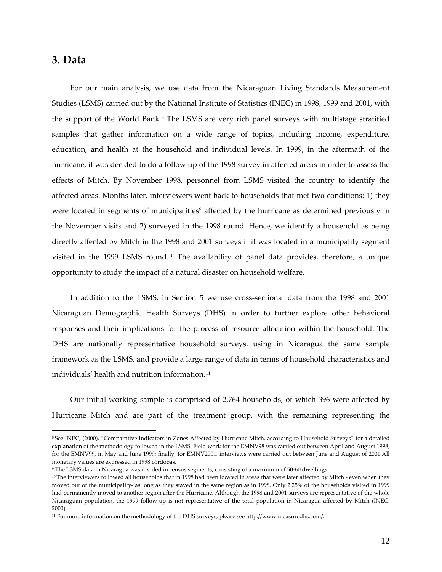## <span id="page-11-0"></span>**3. Data**

 $\overline{a}$ 

For our main analysis, we use data from the Nicaraguan Living Standards Measurement Studies (LSMS) carried out by the National Institute of Statistics (INEC) in 1998, 1999 and 2001, with the support of the World Bank.<sup>[8](#page-11-0)</sup> The LSMS are very rich panel surveys with multistage stratified samples that gather information on a wide range of topics, including income, expenditure, education, and health at the household and individual levels. In 1999, in the aftermath of the hurricane, it was decided to do a follow up of the 1998 survey in affected areas in order to assess the effects of Mitch. By November 1998, personnel from LSMS visited the country to identify the affected areas. Months later, interviewers went back to households that met two conditions: 1) they were located in segments of municipalities<sup>[9](#page-11-0)</sup> affected by the hurricane as determined previously in the November visits and 2) surveyed in the 1998 round. Hence, we identify a household as being directly affected by Mitch in the 1998 and 2001 surveys if it was located in a municipality segment visited in the [1](#page-11-0)999 LSMS round.<sup>10</sup> The availability of panel data provides, therefore, a unique opportunity to study the impact of a natural disaster on household welfare.

In addition to the LSMS, in Section 5 we use cross‐sectional data from the 1998 and 2001 Nicaraguan Demographic Health Surveys (DHS) in order to further explore other behavioral responses and their implications for the process of resource allocation within the household. The DHS are nationally representative household surveys, using in Nicaragua the same sample framework as the LSMS, and provide a large range of data in terms of household characteristics and individuals' health and nutrition information.<sup>[1](#page-11-0)1</sup>

Our initial working sample is comprised of 2,764 households, of which 396 were affected by Hurricane Mitch and are part of the treatment group, with the remaining representing the

<sup>8</sup> See INEC, (2000), "Comparative Indicators in Zones Affected by Hurricane Mitch, according to Household Surveys" for a detailed explanation of the methodology followed in the LSMS. Field work for the EMNV98 was carried out between April and August 1998; for the EMNV99, in May and June 1999; finally, for EMNV2001, interviews were carried out between June and August of 2001.All monetary values are expressed in 1998 córdobas.

<sup>9</sup> The LSMS data in Nicaragua was divided in census segments, consisting of a maximum of 50‐60 dwellings.

<sup>10</sup> The interviewers followed all households that in 1998 had been located in areas that were later affected by Mitch - even when they moved out of the municipality‐ as long as they stayed in the same region as in 1998. Only 2.25% of the households visited in 1999 had permanently moved to another region after the Hurricane. Although the 1998 and 2001 surveys are representative of the whole Nicaraguan population, the 1999 follow-up is not representative of the total population in Nicaragua affected by Mitch (INEC, 2000).

<sup>&</sup>lt;sup>11</sup> For more information on the methodology of the DHS surveys, please see http://www.measuredhs.com/.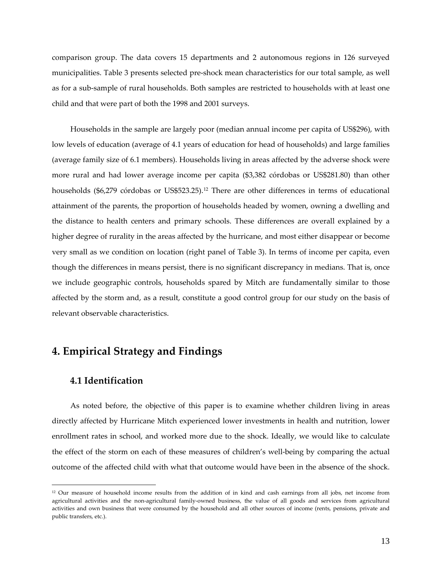<span id="page-12-0"></span>comparison group. The data covers 15 departments and 2 autonomous regions in 126 surveyed municipalities. Table 3 presents selected pre‐shock mean characteristics for our total sample, as well as for a sub‐sample of rural households. Both samples are restricted to households with at least one child and that were part of both the 1998 and 2001 surveys.

Households in the sample are largely poor (median annual income per capita of US\$296), with low levels of education (average of 4.1 years of education for head of households) and large families (average family size of 6.1 members). Households living in areas affected by the adverse shock were more rural and had lower average income per capita (\$3,382 córdobas or US\$281.80) than other households (\$6,279 córdobas or US\$523.25).<sup>[1](#page-12-0)2</sup> There are other differences in terms of educational attainment of the parents, the proportion of households headed by women, owning a dwelling and the distance to health centers and primary schools. These differences are overall explained by a higher degree of rurality in the areas affected by the hurricane, and most either disappear or become very small as we condition on location (right panel of Table 3). In terms of income per capita, even though the differences in means persist, there is no significant discrepancy in medians. That is, once we include geographic controls, households spared by Mitch are fundamentally similar to those affected by the storm and, as a result, constitute a good control group for our study on the basis of relevant observable characteristics.

## **4. Empirical Strategy and Findings**

## **4.1 Identification**

 $\overline{a}$ 

As noted before, the objective of this paper is to examine whether children living in areas directly affected by Hurricane Mitch experienced lower investments in health and nutrition, lower enrollment rates in school, and worked more due to the shock. Ideally, we would like to calculate the effect of the storm on each of these measures of children's well‐being by comparing the actual outcome of the affected child with what that outcome would have been in the absence of the shock.

<sup>12</sup> Our measure of household income results from the addition of in kind and cash earnings from all jobs, net income from agricultural activities and the non‐agricultural family‐owned business, the value of all goods and services from agricultural activities and own business that were consumed by the household and all other sources of income (rents, pensions, private and public transfers, etc.).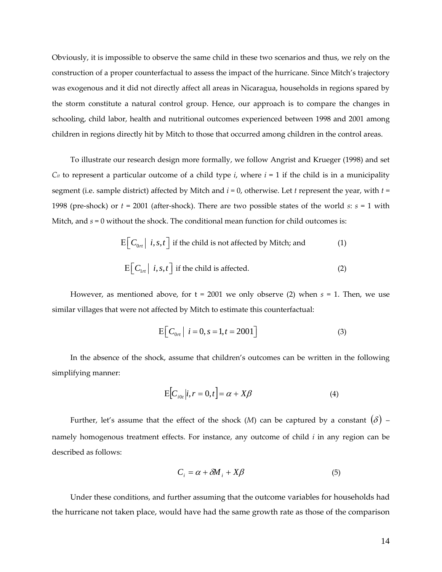Obviously, it is impossible to observe the same child in these two scenarios and thus, we rely on the construction of a proper counterfactual to assess the impact of the hurricane. Since Mitch's trajectory was exogenous and it did not directly affect all areas in Nicaragua, households in regions spared by the storm constitute a natural control group. Hence, our approach is to compare the changes in schooling, child labor, health and nutritional outcomes experienced between 1998 and 2001 among children in regions directly hit by Mitch to those that occurred among children in the control areas.

To illustrate our research design more formally, we follow Angrist and Krueger (1998) and set  $C_{it}$  to represent a particular outcome of a child type *i*, where  $i = 1$  if the child is in a municipality segment (i.e. sample district) affected by Mitch and *i* = 0, otherwise. Let *t* represent the year, with *t* = 1998 (pre-shock) or  $t = 2001$  (after-shock). There are two possible states of the world  $s: s = 1$  with Mitch, and *s* = 0 without the shock. The conditional mean function for child outcomes is:

$$
E\Big[C_{0rt} | i, s, t\Big]
$$
 if the child is not affected by Mitchell; and  

$$
E\Big[C_{1rt} | i, s, t\Big]
$$
 if the child is affected. (2)

However, as mentioned above, for  $t = 2001$  we only observe (2) when  $s = 1$ . Then, we use similar villages that were not affected by Mitch to estimate this counterfactual:

$$
E\left[\left.C_{0rt}\right| i=0, s=1, t=2001\right]
$$
 (3)

In the absence of the shock, assume that children's outcomes can be written in the following simplifying manner:

$$
\mathbf{E}\big[C_{i0t}|i,r=0,t\big]=\alpha+X\beta\tag{4}
$$

Further, let's assume that the effect of the shock (*M*) can be captured by a constant  $(\delta)$  – namely homogenous treatment effects. For instance, any outcome of child *i* in any region can be described as follows:

$$
C_i = \alpha + \delta M_i + X\beta \tag{5}
$$

Under these conditions, and further assuming that the outcome variables for households had the hurricane not taken place, would have had the same growth rate as those of the comparison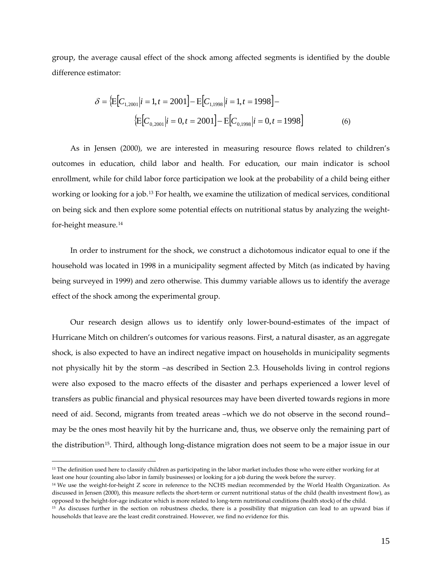<span id="page-14-0"></span>group, the average causal effect of the shock among affected segments is identified by the double difference estimator:

$$
\delta = \left\{ E \Big[ C_{1,2001} | i = 1, t = 2001 \Big] - E \Big[ C_{1,1998} | i = 1, t = 1998 \Big] - \right\}
$$

$$
\left\{ E \Big[ C_{0,2001} | i = 0, t = 2001 \Big] - E \Big[ C_{0,1998} | i = 0, t = 1998 \Big] \right\}
$$
(6)

As in Jensen (2000), we are interested in measuring resource flows related to children's outcomes in education, child labor and health. For education, our main indicator is school enrollment, while for child labor force participation we look at the probability of a child being either working or looking for a job.[1](#page-14-0)3 For health, we examine the utilization of medical services, conditional on being sick and then explore some potential effects on nutritional status by analyzing the weight‐ for‐height measure.[14](#page-14-0)

In order to instrument for the shock, we construct a dichotomous indicator equal to one if the household was located in 1998 in a municipality segment affected by Mitch (as indicated by having being surveyed in 1999) and zero otherwise. This dummy variable allows us to identify the average effect of the shock among the experimental group.

Our research design allows us to identify only lower‐bound‐estimates of the impact of Hurricane Mitch on children's outcomes for various reasons. First, a natural disaster, as an aggregate shock, is also expected to have an indirect negative impact on households in municipality segments not physically hit by the storm –as described in Section 2.3. Households living in control regions were also exposed to the macro effects of the disaster and perhaps experienced a lower level of transfers as public financial and physical resources may have been diverted towards regions in more need of aid. Second, migrants from treated areas –which we do not observe in the second round– may be the ones most heavily hit by the hurricane and, thus, we observe only the remaining part of the distribution[15](#page-14-0). Third, although long‐distance migration does not seem to be a major issue in our

 $\ddot{\phantom{a}}$ 

<sup>&</sup>lt;sup>13</sup> The definition used here to classify children as participating in the labor market includes those who were either working for at least one hour (counting also labor in family businesses) or looking for a job during the week before the survey.

<sup>&</sup>lt;sup>14</sup> We use the weight-for-height Z score in reference to the NCHS median recommended by the World Health Organization. As discussed in Jensen (2000), this measure reflects the short‐term or current nutritional status of the child (health investment flow), as opposed to the height‐for‐age indicator which is more related to long‐term nutritional conditions (health stock) of the child.

<sup>15</sup> As discuses further in the section on robustness checks, there is a possibility that migration can lead to an upward bias if households that leave are the least credit constrained. However, we find no evidence for this.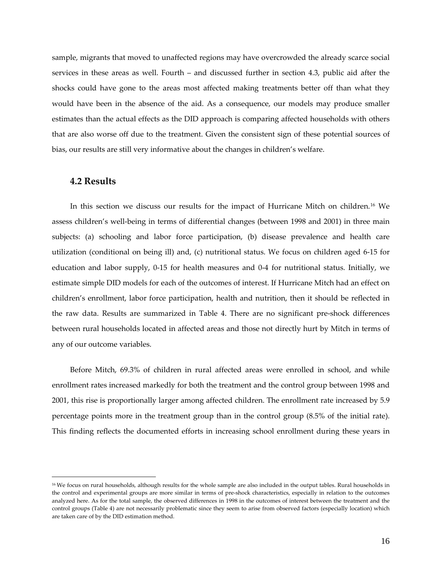<span id="page-15-0"></span>sample, migrants that moved to unaffected regions may have overcrowded the already scarce social services in these areas as well. Fourth – and discussed further in section 4.3, public aid after the shocks could have gone to the areas most affected making treatments better off than what they would have been in the absence of the aid. As a consequence, our models may produce smaller estimates than the actual effects as the DID approach is comparing affected households with others that are also worse off due to the treatment. Given the consistent sign of these potential sources of bias, our results are still very informative about the changes in children's welfare.

### **4.2 Results**

 $\overline{a}$ 

In this section we discuss our results for the impact of Hurricane Mitch on children.[16](#page-15-0) We assess children's well‐being in terms of differential changes (between 1998 and 2001) in three main subjects: (a) schooling and labor force participation, (b) disease prevalence and health care utilization (conditional on being ill) and, (c) nutritional status. We focus on children aged 6‐15 for education and labor supply, 0‐15 for health measures and 0‐4 for nutritional status. Initially, we estimate simple DID models for each of the outcomes of interest. If Hurricane Mitch had an effect on children's enrollment, labor force participation, health and nutrition, then it should be reflected in the raw data. Results are summarized in Table 4. There are no significant pre‐shock differences between rural households located in affected areas and those not directly hurt by Mitch in terms of any of our outcome variables.

Before Mitch, 69.3% of children in rural affected areas were enrolled in school, and while enrollment rates increased markedly for both the treatment and the control group between 1998 and 2001, this rise is proportionally larger among affected children. The enrollment rate increased by 5.9 percentage points more in the treatment group than in the control group (8.5% of the initial rate). This finding reflects the documented efforts in increasing school enrollment during these years in

<sup>&</sup>lt;sup>16</sup> We focus on rural households, although results for the whole sample are also included in the output tables. Rural households in the control and experimental groups are more similar in terms of pre-shock characteristics, especially in relation to the outcomes analyzed here. As for the total sample, the observed differences in 1998 in the outcomes of interest between the treatment and the control groups (Table 4) are not necessarily problematic since they seem to arise from observed factors (especially location) which are taken care of by the DID estimation method.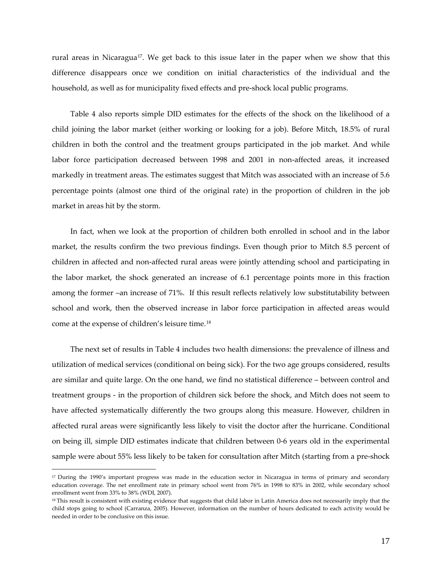<span id="page-16-0"></span>rural areas in Nicaragua<sup>[17](#page-16-0)</sup>. We get back to this issue later in the paper when we show that this difference disappears once we condition on initial characteristics of the individual and the household, as well as for municipality fixed effects and pre‐shock local public programs.

Table 4 also reports simple DID estimates for the effects of the shock on the likelihood of a child joining the labor market (either working or looking for a job). Before Mitch, 18.5% of rural children in both the control and the treatment groups participated in the job market. And while labor force participation decreased between 1998 and 2001 in non-affected areas, it increased markedly in treatment areas. The estimates suggest that Mitch was associated with an increase of 5.6 percentage points (almost one third of the original rate) in the proportion of children in the job market in areas hit by the storm.

In fact, when we look at the proportion of children both enrolled in school and in the labor market, the results confirm the two previous findings. Even though prior to Mitch 8.5 percent of children in affected and non‐affected rural areas were jointly attending school and participating in the labor market, the shock generated an increase of 6.1 percentage points more in this fraction among the former –an increase of 71%. If this result reflects relatively low substitutability between school and work, then the observed increase in labor force participation in affected areas would come at the expense of children's leisure time.[1](#page-16-0)8

The next set of results in Table 4 includes two health dimensions: the prevalence of illness and utilization of medical services (conditional on being sick). For the two age groups considered, results are similar and quite large. On the one hand, we find no statistical difference – between control and treatment groups ‐ in the proportion of children sick before the shock, and Mitch does not seem to have affected systematically differently the two groups along this measure. However, children in affected rural areas were significantly less likely to visit the doctor after the hurricane. Conditional on being ill, simple DID estimates indicate that children between 0‐6 years old in the experimental sample were about 55% less likely to be taken for consultation after Mitch (starting from a pre-shock

<sup>&</sup>lt;sup>17</sup> During the 1990's important progress was made in the education sector in Nicaragua in terms of primary and secondary education coverage. The net enrollment rate in primary school went from 76% in 1998 to 83% in 2002, while secondary school enrollment went from 33% to 38% (WDI, 2007).

<sup>&</sup>lt;sup>18</sup> This result is consistent with existing evidence that suggests that child labor in Latin America does not necessarily imply that the child stops going to school (Carranza, 2005). However, information on the number of hours dedicated to each activity would be needed in order to be conclusive on this issue.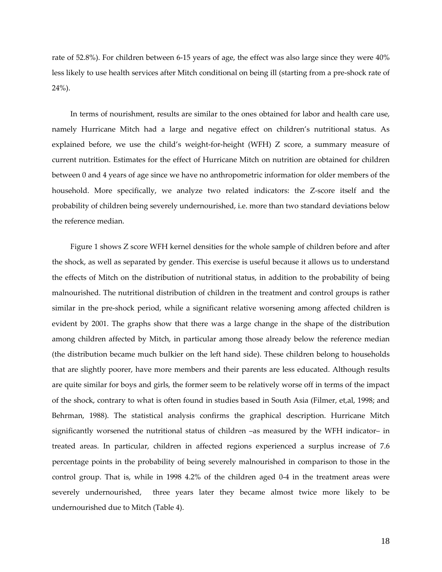rate of 52.8%). For children between 6‐15 years of age, the effect was also large since they were 40% less likely to use health services after Mitch conditional on being ill (starting from a pre‐shock rate of 24%).

In terms of nourishment, results are similar to the ones obtained for labor and health care use, namely Hurricane Mitch had a large and negative effect on children's nutritional status. As explained before, we use the child's weight-for-height (WFH) Z score, a summary measure of current nutrition. Estimates for the effect of Hurricane Mitch on nutrition are obtained for children between 0 and 4 years of age since we have no anthropometric information for older members of the household. More specifically, we analyze two related indicators: the Z-score itself and the probability of children being severely undernourished, i.e. more than two standard deviations below the reference median.

Figure 1 shows Z score WFH kernel densities for the whole sample of children before and after the shock, as well as separated by gender. This exercise is useful because it allows us to understand the effects of Mitch on the distribution of nutritional status, in addition to the probability of being malnourished. The nutritional distribution of children in the treatment and control groups is rather similar in the pre-shock period, while a significant relative worsening among affected children is evident by 2001. The graphs show that there was a large change in the shape of the distribution among children affected by Mitch, in particular among those already below the reference median (the distribution became much bulkier on the left hand side). These children belong to households that are slightly poorer, have more members and their parents are less educated. Although results are quite similar for boys and girls, the former seem to be relatively worse off in terms of the impact of the shock, contrary to what is often found in studies based in South Asia (Filmer, et,al, 1998; and Behrman, 1988). The statistical analysis confirms the graphical description. Hurricane Mitch significantly worsened the nutritional status of children –as measured by the WFH indicator– in treated areas. In particular, children in affected regions experienced a surplus increase of 7.6 percentage points in the probability of being severely malnourished in comparison to those in the control group. That is, while in 1998 4.2% of the children aged 0‐4 in the treatment areas were severely undernourished, three years later they became almost twice more likely to be undernourished due to Mitch (Table 4).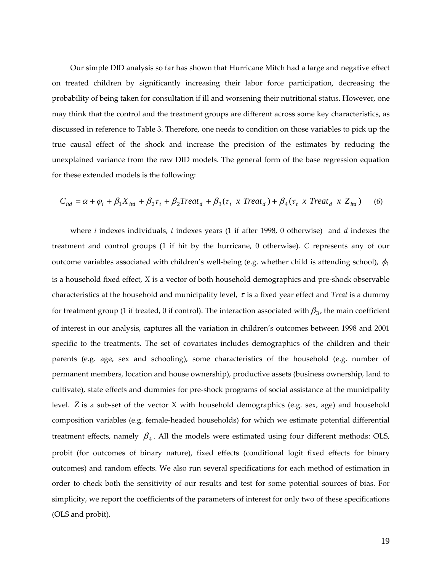Our simple DID analysis so far has shown that Hurricane Mitch had a large and negative effect on treated children by significantly increasing their labor force participation, decreasing the probability of being taken for consultation if ill and worsening their nutritional status. However, one may think that the control and the treatment groups are different across some key characteristics, as discussed in reference to Table 3. Therefore, one needs to condition on those variables to pick up the true causal effect of the shock and increase the precision of the estimates by reducing the unexplained variance from the raw DID models. The general form of the base regression equation for these extended models is the following:

$$
C_{\text{itd}} = \alpha + \varphi_i + \beta_1 X_{\text{itd}} + \beta_2 \tau_t + \beta_2 T \text{reat}_d + \beta_3 (\tau_t \times \text{Treat}_d) + \beta_4 (\tau_t \times \text{Treat}_d \times Z_{\text{itd}}) \tag{6}
$$

where *i* indexes individuals, *t* indexes years (1 if after 1998, 0 otherwise) and *d* indexes the treatment and control groups (1 if hit by the hurricane, 0 otherwise). *C* represents any of our outcome variables associated with children's well‐being (e.g. whether child is attending school), φ*<sup>i</sup>* is a household fixed effect, *X* is a vector of both household demographics and pre‐shock observable characteristics at the household and municipality level, <sup>τ</sup> is a fixed year effect and *Treat* is a dummy for treatment group (1 if treated, 0 if control). The interaction associated with  $\beta_3$ , the main coefficient of interest in our analysis, captures all the variation in children's outcomes between 1998 and 2001 specific to the treatments. The set of covariates includes demographics of the children and their parents (e.g. age, sex and schooling), some characteristics of the household (e.g. number of permanent members, location and house ownership), productive assets (business ownership, land to cultivate), state effects and dummies for pre‐shock programs of social assistance at the municipality level. *Z* is a sub-set of the vector *X* with household demographics (e.g. sex, age) and household composition variables (e.g. female‐headed households) for which we estimate potential differential treatment effects, namely  $\beta_4$ . All the models were estimated using four different methods: OLS, probit (for outcomes of binary nature), fixed effects (conditional logit fixed effects for binary outcomes) and random effects. We also run several specifications for each method of estimation in order to check both the sensitivity of our results and test for some potential sources of bias. For simplicity, we report the coefficients of the parameters of interest for only two of these specifications (OLS and probit).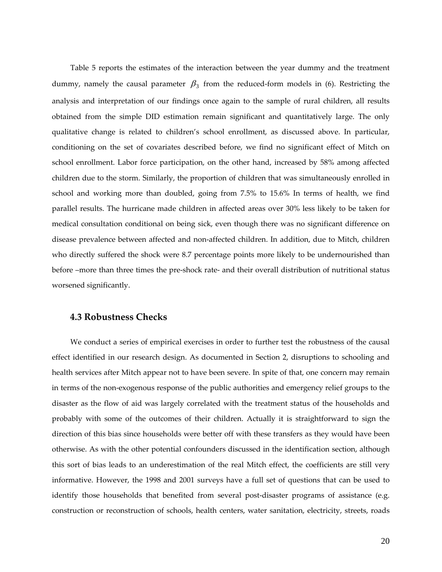Table 5 reports the estimates of the interaction between the year dummy and the treatment dummy, namely the causal parameter  $\beta_3$  from the reduced-form models in (6). Restricting the analysis and interpretation of our findings once again to the sample of rural children, all results obtained from the simple DID estimation remain significant and quantitatively large. The only qualitative change is related to children's school enrollment, as discussed above. In particular, conditioning on the set of covariates described before, we find no significant effect of Mitch on school enrollment. Labor force participation, on the other hand, increased by 58% among affected children due to the storm. Similarly, the proportion of children that was simultaneously enrolled in school and working more than doubled, going from 7.5% to 15.6% In terms of health, we find parallel results. The hurricane made children in affected areas over 30% less likely to be taken for medical consultation conditional on being sick, even though there was no significant difference on disease prevalence between affected and non‐affected children. In addition, due to Mitch, children who directly suffered the shock were 8.7 percentage points more likely to be undernourished than before –more than three times the pre-shock rate- and their overall distribution of nutritional status worsened significantly.

### **4.3 Robustness Checks**

We conduct a series of empirical exercises in order to further test the robustness of the causal effect identified in our research design. As documented in Section 2, disruptions to schooling and health services after Mitch appear not to have been severe. In spite of that, one concern may remain in terms of the non‐exogenous response of the public authorities and emergency relief groups to the disaster as the flow of aid was largely correlated with the treatment status of the households and probably with some of the outcomes of their children. Actually it is straightforward to sign the direction of this bias since households were better off with these transfers as they would have been otherwise. As with the other potential confounders discussed in the identification section, although this sort of bias leads to an underestimation of the real Mitch effect, the coefficients are still very informative. However, the 1998 and 2001 surveys have a full set of questions that can be used to identify those households that benefited from several post-disaster programs of assistance (e.g. construction or reconstruction of schools, health centers, water sanitation, electricity, streets, roads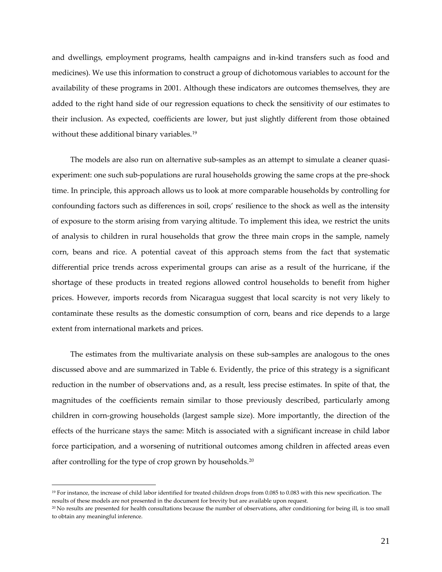<span id="page-20-0"></span>and dwellings, employment programs, health campaigns and in‐kind transfers such as food and medicines). We use this information to construct a group of dichotomous variables to account for the availability of these programs in 2001. Although these indicators are outcomes themselves, they are added to the right hand side of our regression equations to check the sensitivity of our estimates to their inclusion. As expected, coefficients are lower, but just slightly different from those obtained without these additional binary variables.<sup>19</sup>

The models are also run on alternative sub-samples as an attempt to simulate a cleaner quasiexperiment: one such sub-populations are rural households growing the same crops at the pre-shock time. In principle, this approach allows us to look at more comparable households by controlling for confounding factors such as differences in soil, crops' resilience to the shock as well as the intensity of exposure to the storm arising from varying altitude. To implement this idea, we restrict the units of analysis to children in rural households that grow the three main crops in the sample, namely corn, beans and rice. A potential caveat of this approach stems from the fact that systematic differential price trends across experimental groups can arise as a result of the hurricane, if the shortage of these products in treated regions allowed control households to benefit from higher prices. However, imports records from Nicaragua suggest that local scarcity is not very likely to contaminate these results as the domestic consumption of corn, beans and rice depends to a large extent from international markets and prices.

The estimates from the multivariate analysis on these sub‐samples are analogous to the ones discussed above and are summarized in Table 6. Evidently, the price of this strategy is a significant reduction in the number of observations and, as a result, less precise estimates. In spite of that, the magnitudes of the coefficients remain similar to those previously described, particularly among children in corn‐growing households (largest sample size). More importantly, the direction of the effects of the hurricane stays the same: Mitch is associated with a significant increase in child labor force participation, and a worsening of nutritional outcomes among children in affected areas even after controlling for the type of crop grown by households.<sup>[2](#page-20-0)0</sup>

<sup>19</sup> For instance, the increase of child labor identified for treated children drops from 0.085 to 0.083 with this new specification. The results of these models are not presented in the document for brevity but are available upon request.

<sup>20</sup> No results are presented for health consultations because the number of observations, after conditioning for being ill, is too small to obtain any meaningful inference.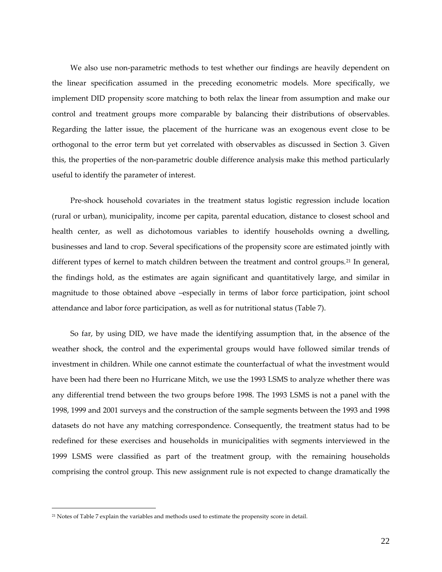<span id="page-21-0"></span>We also use non-parametric methods to test whether our findings are heavily dependent on the linear specification assumed in the preceding econometric models. More specifically, we implement DID propensity score matching to both relax the linear from assumption and make our control and treatment groups more comparable by balancing their distributions of observables. Regarding the latter issue, the placement of the hurricane was an exogenous event close to be orthogonal to the error term but yet correlated with observables as discussed in Section 3. Given this, the properties of the non‐parametric double difference analysis make this method particularly useful to identify the parameter of interest.

Pre‐shock household covariates in the treatment status logistic regression include location (rural or urban), municipality, income per capita, parental education, distance to closest school and health center, as well as dichotomous variables to identify households owning a dwelling, businesses and land to crop. Several specifications of the propensity score are estimated jointly with different types of kernel to match children between the treatment and control groups.<sup>[21](#page-21-0)</sup> In general, the findings hold, as the estimates are again significant and quantitatively large, and similar in magnitude to those obtained above –especially in terms of labor force participation, joint school attendance and labor force participation, as well as for nutritional status (Table 7).

So far, by using DID, we have made the identifying assumption that, in the absence of the weather shock, the control and the experimental groups would have followed similar trends of investment in children. While one cannot estimate the counterfactual of what the investment would have been had there been no Hurricane Mitch, we use the 1993 LSMS to analyze whether there was any differential trend between the two groups before 1998. The 1993 LSMS is not a panel with the 1998, 1999 and 2001 surveys and the construction of the sample segments between the 1993 and 1998 datasets do not have any matching correspondence. Consequently, the treatment status had to be redefined for these exercises and households in municipalities with segments interviewed in the 1999 LSMS were classified as part of the treatment group, with the remaining households comprising the control group. This new assignment rule is not expected to change dramatically the

<sup>21</sup> Notes of Table 7 explain the variables and methods used to estimate the propensity score in detail.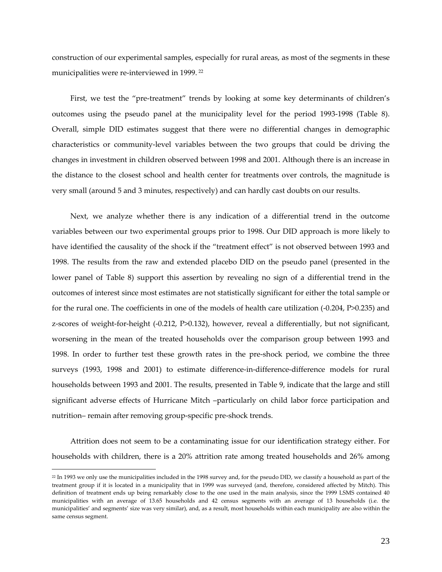<span id="page-22-0"></span>construction of our experimental samples, especially for rural areas, as most of the segments in these municipalities were re-interviewed in 1999.<sup>[2](#page-22-0)2</sup>

First, we test the "pre-treatment" trends by looking at some key determinants of children's outcomes using the pseudo panel at the municipality level for the period 1993‐1998 (Table 8). Overall, simple DID estimates suggest that there were no differential changes in demographic characteristics or community‐level variables between the two groups that could be driving the changes in investment in children observed between 1998 and 2001. Although there is an increase in the distance to the closest school and health center for treatments over controls, the magnitude is very small (around 5 and 3 minutes, respectively) and can hardly cast doubts on our results.

Next, we analyze whether there is any indication of a differential trend in the outcome variables between our two experimental groups prior to 1998. Our DID approach is more likely to have identified the causality of the shock if the "treatment effect" is not observed between 1993 and 1998. The results from the raw and extended placebo DID on the pseudo panel (presented in the lower panel of Table 8) support this assertion by revealing no sign of a differential trend in the outcomes of interest since most estimates are not statistically significant for either the total sample or for the rural one. The coefficients in one of the models of health care utilization (‐0.204, P>0.235) and z-scores of weight-for-height (-0.212, P>0.132), however, reveal a differentially, but not significant, worsening in the mean of the treated households over the comparison group between 1993 and 1998. In order to further test these growth rates in the pre‐shock period, we combine the three surveys (1993, 1998 and 2001) to estimate difference-in-difference-difference models for rural households between 1993 and 2001. The results, presented in Table 9, indicate that the large and still significant adverse effects of Hurricane Mitch –particularly on child labor force participation and nutrition– remain after removing group‐specific pre‐shock trends.

Attrition does not seem to be a contaminating issue for our identification strategy either. For households with children, there is a 20% attrition rate among treated households and 26% among

<sup>&</sup>lt;sup>22</sup> In 1993 we only use the municipalities included in the 1998 survey and, for the pseudo DID, we classify a household as part of the treatment group if it is located in a municipality that in 1999 was surveyed (and, therefore, considered affected by Mitch). This definition of treatment ends up being remarkably close to the one used in the main analysis, since the 1999 LSMS contained 40 municipalities with an average of 13.65 households and 42 census segments with an average of 13 households (i.e. the municipalities' and segments' size was very similar), and, as a result, most households within each municipality are also within the same census segment.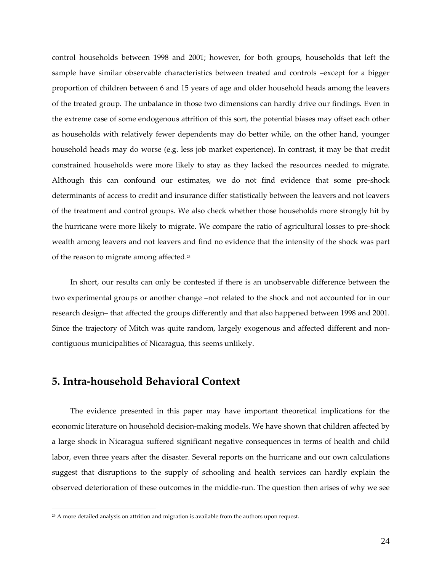<span id="page-23-0"></span>control households between 1998 and 2001; however, for both groups, households that left the sample have similar observable characteristics between treated and controls –except for a bigger proportion of children between 6 and 15 years of age and older household heads among the leavers of the treated group. The unbalance in those two dimensions can hardly drive our findings. Even in the extreme case of some endogenous attrition of this sort, the potential biases may offset each other as households with relatively fewer dependents may do better while, on the other hand, younger household heads may do worse (e.g. less job market experience). In contrast, it may be that credit constrained households were more likely to stay as they lacked the resources needed to migrate. Although this can confound our estimates, we do not find evidence that some pre‐shock determinants of access to credit and insurance differ statistically between the leavers and not leavers of the treatment and control groups. We also check whether those households more strongly hit by the hurricane were more likely to migrate. We compare the ratio of agricultural losses to pre‐shock wealth among leavers and not leavers and find no evidence that the intensity of the shock was part of the reason to migrate among affected.[2](#page-23-0)3

In short, our results can only be contested if there is an unobservable difference between the two experimental groups or another change –not related to the shock and not accounted for in our research design– that affected the groups differently and that also happened between 1998 and 2001. Since the trajectory of Mitch was quite random, largely exogenous and affected different and noncontiguous municipalities of Nicaragua, this seems unlikely.

## **5. Intra‐household Behavioral Context**

 $\overline{a}$ 

The evidence presented in this paper may have important theoretical implications for the economic literature on household decision-making models. We have shown that children affected by a large shock in Nicaragua suffered significant negative consequences in terms of health and child labor, even three years after the disaster. Several reports on the hurricane and our own calculations suggest that disruptions to the supply of schooling and health services can hardly explain the observed deterioration of these outcomes in the middle‐run. The question then arises of why we see

<sup>&</sup>lt;sup>23</sup> A more detailed analysis on attrition and migration is available from the authors upon request.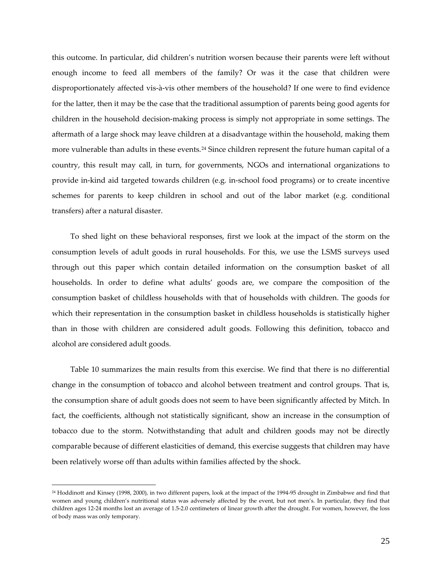<span id="page-24-0"></span>this outcome. In particular, did children's nutrition worsen because their parents were left without enough income to feed all members of the family? Or was it the case that children were disproportionately affected vis‐à‐vis other members of the household? If one were to find evidence for the latter, then it may be the case that the traditional assumption of parents being good agents for children in the household decision‐making process is simply not appropriate in some settings. The aftermath of a large shock may leave children at a disadvantage within the household, making them more vulnerable than adults in these events.<sup>[2](#page-24-0)4</sup> Since children represent the future human capital of a country, this result may call, in turn, for governments, NGOs and international organizations to provide in‐kind aid targeted towards children (e.g. in‐school food programs) or to create incentive schemes for parents to keep children in school and out of the labor market (e.g. conditional transfers) after a natural disaster.

To shed light on these behavioral responses, first we look at the impact of the storm on the consumption levels of adult goods in rural households. For this, we use the LSMS surveys used through out this paper which contain detailed information on the consumption basket of all households. In order to define what adults' goods are, we compare the composition of the consumption basket of childless households with that of households with children. The goods for which their representation in the consumption basket in childless households is statistically higher than in those with children are considered adult goods. Following this definition, tobacco and alcohol are considered adult goods.

Table 10 summarizes the main results from this exercise. We find that there is no differential change in the consumption of tobacco and alcohol between treatment and control groups. That is, the consumption share of adult goods does not seem to have been significantly affected by Mitch. In fact, the coefficients, although not statistically significant, show an increase in the consumption of tobacco due to the storm. Notwithstanding that adult and children goods may not be directly comparable because of different elasticities of demand, this exercise suggests that children may have been relatively worse off than adults within families affected by the shock.

<sup>24</sup> Hoddinott and Kinsey (1998, 2000), in two different papers, look at the impact of the 1994‐95 drought in Zimbabwe and find that women and young children's nutritional status was adversely affected by the event, but not men's. In particular, they find that children ages 12‐24 months lost an average of 1.5‐2.0 centimeters of linear growth after the drought. For women, however, the loss of body mass was only temporary.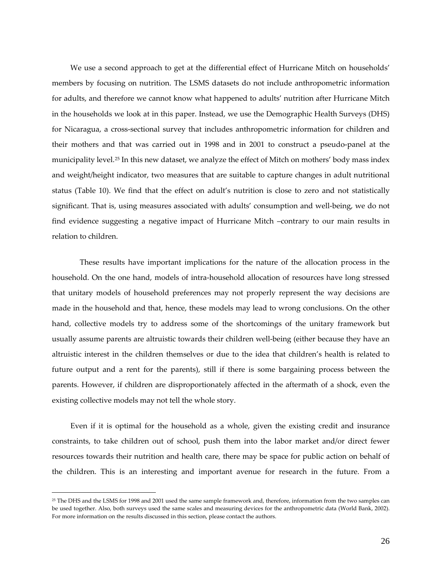<span id="page-25-0"></span>We use a second approach to get at the differential effect of Hurricane Mitch on households' members by focusing on nutrition. The LSMS datasets do not include anthropometric information for adults, and therefore we cannot know what happened to adults' nutrition after Hurricane Mitch in the households we look at in this paper. Instead, we use the Demographic Health Surveys (DHS) for Nicaragua, a cross-sectional survey that includes anthropometric information for children and their mothers and that was carried out in 1998 and in 2001 to construct a pseudo‐panel at the municipality level.[25](#page-25-0) In this new dataset, we analyze the effect of Mitch on mothers' body mass index and weight/height indicator, two measures that are suitable to capture changes in adult nutritional status (Table 10). We find that the effect on adult's nutrition is close to zero and not statistically significant. That is, using measures associated with adults' consumption and well-being, we do not find evidence suggesting a negative impact of Hurricane Mitch –contrary to our main results in relation to children.

These results have important implications for the nature of the allocation process in the household. On the one hand, models of intra‐household allocation of resources have long stressed that unitary models of household preferences may not properly represent the way decisions are made in the household and that, hence, these models may lead to wrong conclusions. On the other hand, collective models try to address some of the shortcomings of the unitary framework but usually assume parents are altruistic towards their children well-being (either because they have an altruistic interest in the children themselves or due to the idea that children's health is related to future output and a rent for the parents), still if there is some bargaining process between the parents. However, if children are disproportionately affected in the aftermath of a shock, even the existing collective models may not tell the whole story.

Even if it is optimal for the household as a whole, given the existing credit and insurance constraints, to take children out of school, push them into the labor market and/or direct fewer resources towards their nutrition and health care, there may be space for public action on behalf of the children. This is an interesting and important avenue for research in the future. From a

<sup>25</sup> The DHS and the LSMS for 1998 and 2001 used the same sample framework and, therefore, information from the two samples can be used together. Also, both surveys used the same scales and measuring devices for the anthropometric data (World Bank, 2002). For more information on the results discussed in this section, please contact the authors.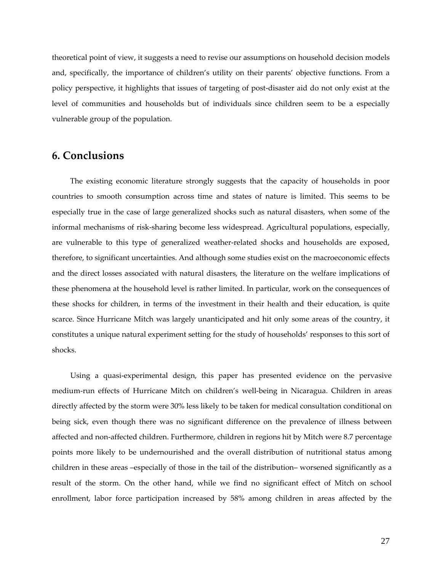theoretical point of view, it suggests a need to revise our assumptions on household decision models and, specifically, the importance of children's utility on their parents' objective functions. From a policy perspective, it highlights that issues of targeting of post‐disaster aid do not only exist at the level of communities and households but of individuals since children seem to be a especially vulnerable group of the population.

## **6. Conclusions**

The existing economic literature strongly suggests that the capacity of households in poor countries to smooth consumption across time and states of nature is limited. This seems to be especially true in the case of large generalized shocks such as natural disasters, when some of the informal mechanisms of risk‐sharing become less widespread. Agricultural populations, especially, are vulnerable to this type of generalized weather‐related shocks and households are exposed, therefore, to significant uncertainties. And although some studies exist on the macroeconomic effects and the direct losses associated with natural disasters, the literature on the welfare implications of these phenomena at the household level is rather limited. In particular, work on the consequences of these shocks for children, in terms of the investment in their health and their education, is quite scarce. Since Hurricane Mitch was largely unanticipated and hit only some areas of the country, it constitutes a unique natural experiment setting for the study of households' responses to this sort of shocks.

Using a quasi‐experimental design, this paper has presented evidence on the pervasive medium‐run effects of Hurricane Mitch on children's well‐being in Nicaragua. Children in areas directly affected by the storm were 30% less likely to be taken for medical consultation conditional on being sick, even though there was no significant difference on the prevalence of illness between affected and non‐affected children. Furthermore, children in regions hit by Mitch were 8.7 percentage points more likely to be undernourished and the overall distribution of nutritional status among children in these areas –especially of those in the tail of the distribution– worsened significantly as a result of the storm. On the other hand, while we find no significant effect of Mitch on school enrollment, labor force participation increased by 58% among children in areas affected by the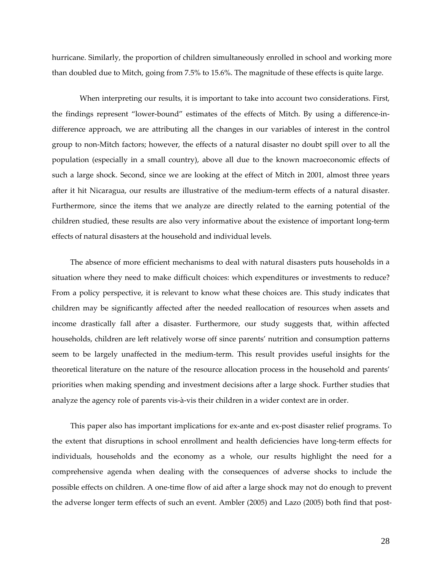hurricane. Similarly, the proportion of children simultaneously enrolled in school and working more than doubled due to Mitch, going from 7.5% to 15.6%. The magnitude of these effects is quite large.

When interpreting our results, it is important to take into account two considerations. First, the findings represent "lower‐bound" estimates of the effects of Mitch. By using a difference‐in‐ difference approach, we are attributing all the changes in our variables of interest in the control group to non‐Mitch factors; however, the effects of a natural disaster no doubt spill over to all the population (especially in a small country), above all due to the known macroeconomic effects of such a large shock. Second, since we are looking at the effect of Mitch in 2001, almost three years after it hit Nicaragua, our results are illustrative of the medium‐term effects of a natural disaster. Furthermore, since the items that we analyze are directly related to the earning potential of the children studied, these results are also very informative about the existence of important long‐term effects of natural disasters at the household and individual levels.

The absence of more efficient mechanisms to deal with natural disasters puts households in a situation where they need to make difficult choices: which expenditures or investments to reduce? From a policy perspective, it is relevant to know what these choices are. This study indicates that children may be significantly affected after the needed reallocation of resources when assets and income drastically fall after a disaster. Furthermore, our study suggests that, within affected households, children are left relatively worse off since parents' nutrition and consumption patterns seem to be largely unaffected in the medium‐term. This result provides useful insights for the theoretical literature on the nature of the resource allocation process in the household and parents' priorities when making spending and investment decisions after a large shock. Further studies that analyze the agency role of parents vis‐à‐vis their children in a wider context are in order.

This paper also has important implications for ex-ante and ex-post disaster relief programs. To the extent that disruptions in school enrollment and health deficiencies have long‐term effects for individuals, households and the economy as a whole, our results highlight the need for a comprehensive agenda when dealing with the consequences of adverse shocks to include the possible effects on children. A one‐time flow of aid after a large shock may not do enough to prevent the adverse longer term effects of such an event. Ambler (2005) and Lazo (2005) both find that post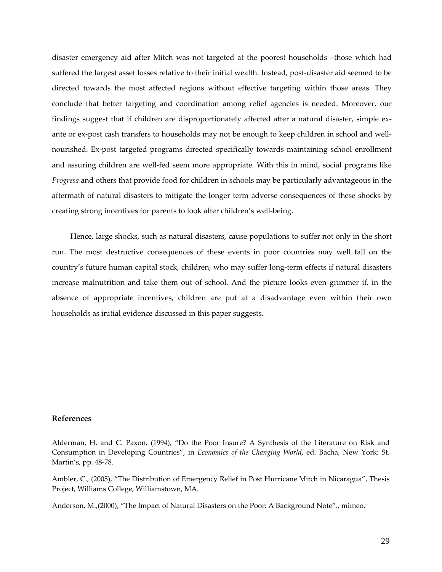disaster emergency aid after Mitch was not targeted at the poorest households –those which had suffered the largest asset losses relative to their initial wealth. Instead, post-disaster aid seemed to be directed towards the most affected regions without effective targeting within those areas. They conclude that better targeting and coordination among relief agencies is needed. Moreover, our findings suggest that if children are disproportionately affected after a natural disaster, simple exante or ex-post cash transfers to households may not be enough to keep children in school and wellnourished. Ex‐post targeted programs directed specifically towards maintaining school enrollment and assuring children are well-fed seem more appropriate. With this in mind, social programs like *Progresa* and others that provide food for children in schools may be particularly advantageous in the aftermath of natural disasters to mitigate the longer term adverse consequences of these shocks by creating strong incentives for parents to look after children's well‐being.

Hence, large shocks, such as natural disasters, cause populations to suffer not only in the short run. The most destructive consequences of these events in poor countries may well fall on the country's future human capital stock, children, who may suffer long‐term effects if natural disasters increase malnutrition and take them out of school. And the picture looks even grimmer if, in the absence of appropriate incentives, children are put at a disadvantage even within their own households as initial evidence discussed in this paper suggests.

#### **References**

Alderman, H. and C. Paxon, (1994), "Do the Poor Insure? A Synthesis of the Literature on Risk and Consumption in Developing Countries", in *Economics of the Changing World*, ed. Bacha, New York: St. Martin's, pp. 48‐78.

Ambler, C., (2005), "The Distribution of Emergency Relief in Post Hurricane Mitch in Nicaragua", Thesis Project, Williams College, Williamstown, MA.

Anderson, M.,(2000), "The Impact of Natural Disasters on the Poor: A Background Note"., mimeo.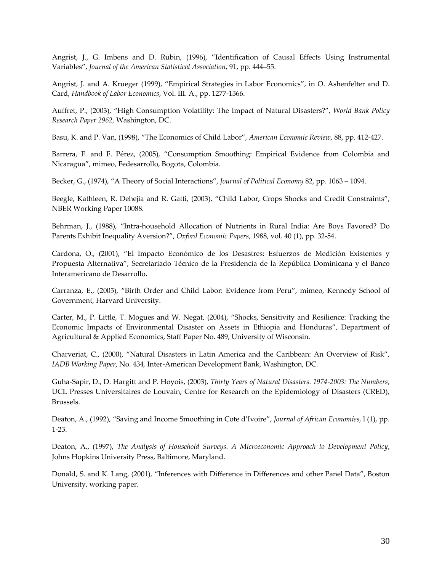Angrist, J., G. Imbens and D. Rubin, (1996), "Identification of Causal Effects Using Instrumental Variables", *Journal of the American Statistical Association*, 91, pp. 444–55.

Angrist, J. and A. Krueger (1999), "Empirical Strategies in Labor Economics", in O. Ashenfelter and D. Card, *Handbook of Labor Economics*, Vol. III. A., pp. 1277‐1366.

Auffret, P., (2003), "High Consumption Volatility: The Impact of Natural Disasters?", *World Bank Policy Research Paper 2962,* Washington, DC.

Basu, K. and P. Van, (1998), "The Economics of Child Labor", *American Economic Review*, 88, pp. 412‐427.

Barrera, F. and F. Pérez, (2005), "Consumption Smoothing: Empirical Evidence from Colombia and Nicaragua", mimeo, Fedesarrollo, Bogota, Colombia.

Becker, G., (1974), "A Theory of Social Interactions", *Journal of Political Economy* 82, pp. 1063 – 1094.

Beegle, Kathleen, R. Dehejia and R. Gatti, (2003), "Child Labor, Crops Shocks and Credit Constraints", NBER Working Paper 10088.

Behrman, J., (1988), "Intra‐household Allocation of Nutrients in Rural India: Are Boys Favored? Do Parents Exhibit Inequality Aversion?", *Oxford Economic Papers*, 1988, vol. 40 (1), pp. 32‐54.

Cardona, O., (2001), "El Impacto Económico de los Desastres: Esfuerzos de Medición Existentes y Propuesta Alternativa", Secretariado Técnico de la Presidencia de la República Dominicana y el Banco Interamericano de Desarrollo.

Carranza, E., (2005), "Birth Order and Child Labor: Evidence from Peru", mimeo, Kennedy School of Government, Harvard University.

Carter, M., P. Little, T. Mogues and W. Negat, (2004), "Shocks, Sensitivity and Resilience: Tracking the Economic Impacts of Environmental Disaster on Assets in Ethiopia and Honduras", Department of Agricultural & Applied Economics, Staff Paper No. 489, University of Wisconsin.

Charveriat, C., (2000), "Natural Disasters in Latin America and the Caribbean: An Overview of Risk", *IADB Working Paper*, No. 434*,* Inter‐American Development Bank, Washington, DC.

Guha‐Sapir, D., D. Hargitt and P. Hoyois, (2003), *Thirty Years of Natural Disasters. 1974‐2003: The Numbers*, UCL Presses Universitaires de Louvain, Centre for Research on the Epidemiology of Disasters (CRED), Brussels.

Deaton, A., (1992), "Saving and Income Smoothing in Cote d'Ivoire", *Journal of African Economies*, l (1), pp. 1‐23.

Deaton, A., (1997), *The Analysis of Household Surveys. A Microeconomic Approach to Development Policy*, Johns Hopkins University Press, Baltimore, Maryland.

Donald, S. and K. Lang, (2001), "Inferences with Difference in Differences and other Panel Data", Boston University, working paper.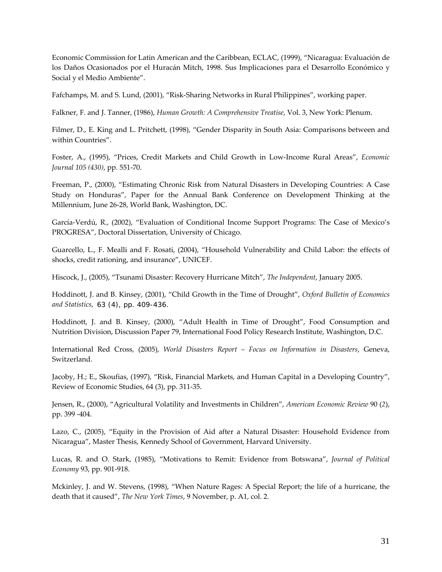Economic Commission for Latin American and the Caribbean, ECLAC, (1999), "Nicaragua: Evaluación de los Daños Ocasionados por el Huracán Mitch, 1998. Sus Implicaciones para el Desarrollo Económico y Social y el Medio Ambiente".

Fafchamps, M. and S. Lund, (2001), "Risk‐Sharing Networks in Rural Philippines", working paper.

Falkner, F. and J. Tanner, (1986), *Human Growth: A Comprehensive Treatise*, Vol. 3, New York: Plenum.

Filmer, D., E. King and L. Pritchett, (1998), "Gender Disparity in South Asia: Comparisons between and within Countries".

Foster, A., (1995), "Prices, Credit Markets and Child Growth in Low‐Income Rural Areas", *Economic Journal 105 (430)*, pp. 551‐70.

Freeman, P., (2000), "Estimating Chronic Risk from Natural Disasters in Developing Countries: A Case Study on Honduras", Paper for the Annual Bank Conference on Development Thinking at the Millennium, June 26‐28, World Bank, Washington, DC.

García‐Verdú, R., (2002), "Evaluation of Conditional Income Support Programs: The Case of Mexico's PROGRESA", Doctoral Dissertation, University of Chicago.

Guarcello, L., F. Mealli and F. Rosati, (2004), "Household Vulnerability and Child Labor: the effects of shocks, credit rationing, and insurance", UNICEF.

Hiscock, J., (2005), "Tsunami Disaster: Recovery Hurricane Mitch", *The Independent*, January 2005.

Hoddinott, J. and B. Kinsey, (2001), "Child Growth in the Time of Drought", *Oxford Bulletin of Economics and Statistics*, 63 (4), pp. 409-436.

Hoddinott, J. and B. Kinsey, (2000), "Adult Health in Time of Drought", Food Consumption and Nutrition Division, Discussion Paper 79, International Food Policy Research Institute, Washington, D.C.

International Red Cross, (2005), *World Disasters Report – Focus on Information in Disasters*, Geneva, Switzerland.

Jacoby, H.; E., Skoufias, (1997), "Risk, Financial Markets, and Human Capital in a Developing Country", Review of Economic Studies, 64 (3), pp. 311‐35.

Jensen, R., (2000), "Agricultural Volatility and Investments in Children", *American Economic Review* 90 (*2*), pp. 399 ‐404.

Lazo, C., (2005), "Equity in the Provision of Aid after a Natural Disaster: Household Evidence from Nicaragua", Master Thesis, Kennedy School of Government, Harvard University.

Lucas, R. and O. Stark, (1985), "Motivations to Remit: Evidence from Botswana", *Journal of Political Economy* 93, pp. 901‐918.

Mckinley, J. and W. Stevens, (1998), "When Nature Rages: A Special Report; the life of a hurricane, the death that it caused", *The New York Times*, 9 November, p. A1, col. 2.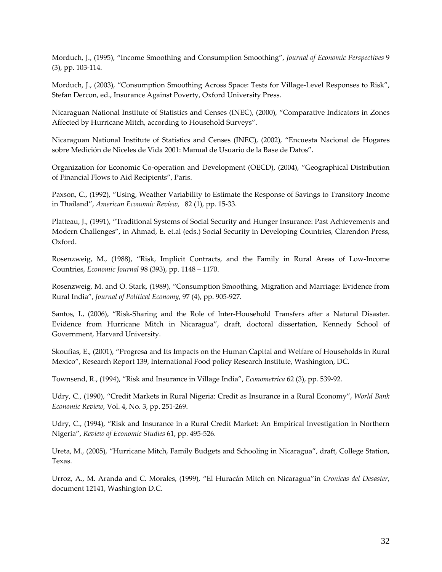Morduch, J., (1995), "Income Smoothing and Consumption Smoothing", *Journal of Economic Perspectives* 9 (3), pp. 103‐114.

Morduch, J., (2003), "Consumption Smoothing Across Space: Tests for Village-Level Responses to Risk", Stefan Dercon, ed., [Insurance](http://www.wider.unu.edu/research/2000-2001-3.2.publications.htm) Against Poverty, Oxford University Press.

Nicaraguan National Institute of Statistics and Censes (INEC), (2000), "Comparative Indicators in Zones Affected by Hurricane Mitch, according to Household Surveys".

Nicaraguan National Institute of Statistics and Censes (INEC), (2002), "Encuesta Nacional de Hogares sobre Medición de Niceles de Vida 2001: Manual de Usuario de la Base de Datos".

Organization for Economic Co‐operation and Development (OECD), (2004), "Geographical Distribution of Financial Flows to Aid Recipients", Paris.

Paxson, C., (1992), "Using, Weather Variability to Estimate the Response of Savings to Transitory Income in Thailand", *American Economic Review*, 82 (1), pp. 15‐33.

Platteau, J., (1991), "Traditional Systems of Social Security and Hunger Insurance: Past Achievements and Modern Challenges", in Ahmad, E. et.al (eds.) Social Security in Developing Countries, Clarendon Press, Oxford.

Rosenzweig, M., (1988), "Risk, Implicit Contracts, and the Family in Rural Areas of Low‐Income Countries, *Economic Journal* 98 (393), pp. 1148 – 1170.

Rosenzweig, M. and O. Stark, (1989), "Consumption Smoothing, Migration and Marriage: Evidence from Rural India", *Journal of Political Economy*, 97 (4), pp. 905‐927.

Santos, I., (2006), "Risk-Sharing and the Role of Inter-Household Transfers after a Natural Disaster. Evidence from Hurricane Mitch in Nicaragua", draft, doctoral dissertation, Kennedy School of Government, Harvard University.

Skoufias, E., (2001), "Progresa and Its Impacts on the Human Capital and Welfare of Households in Rural Mexico", Research Report 139, International Food policy Research Institute, Washington, DC.

Townsend, R., (1994), "Risk and Insurance in Village India", *Econometrica* 62 (3), pp. 539‐92.

Udry, C., (1990), "Credit Markets in Rural Nigeria: Credit as Insurance in a Rural Economy", *World Bank Economic Review,* Vol. 4, No. 3, pp. 251‐269.

Udry, C., (1994), "Risk and Insurance in a Rural Credit Market: An Empirical Investigation in Northern Nigeria", *Review of Economic Studies* 61, pp. 495‐526.

Ureta, M., (2005), "Hurricane Mitch, Family Budgets and Schooling in Nicaragua", draft, College Station, Texas.

Urroz, A., M. Aranda and C. Morales, (1999), "El Huracán Mitch en Nicaragua"in *Cronicas del Desaster*, document 12141, Washington D.C.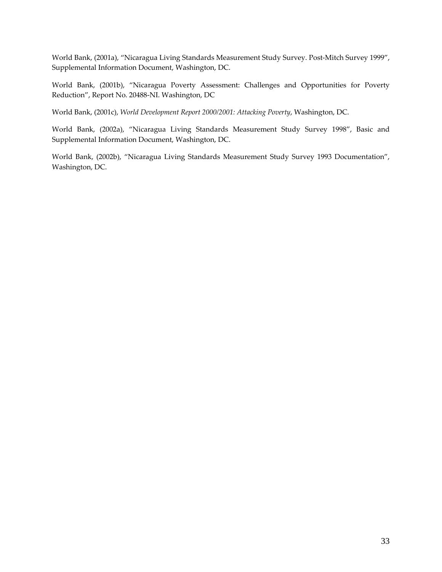World Bank, (2001a), "Nicaragua Living Standards Measurement Study Survey. Post‐Mitch Survey 1999", Supplemental Information Document, Washington, DC.

World Bank, (2001b), "Nicaragua Poverty Assessment: Challenges and Opportunities for Poverty Reduction", Report No. 20488‐NI. Washington, DC

World Bank, (2001c), *World Development Report 2000/2001: Attacking Poverty*, Washington, DC.

World Bank, (2002a), "Nicaragua Living Standards Measurement Study Survey 1998", Basic and Supplemental Information Document, Washington, DC.

World Bank, (2002b), "Nicaragua Living Standards Measurement Study Survey 1993 Documentation", Washington, DC.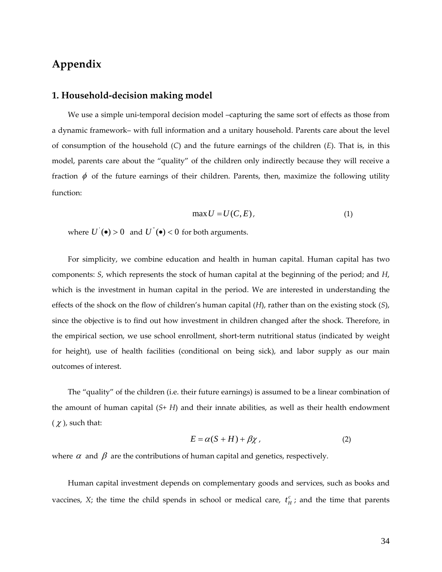## **Appendix**

## **1. Household‐decision making model**

We use a simple uni-temporal decision model -capturing the same sort of effects as those from a dynamic framework– with full information and a unitary household. Parents care about the level of consumption of the household (*C*) and the future earnings of the children (*E*). That is, in this model, parents care about the "quality" of the children only indirectly because they will receive a fraction  $\phi$  of the future earnings of their children. Parents, then, maximize the following utility function:

$$
\max U = U(C, E),\tag{1}
$$

where  $U'(\bullet) > 0$  and  $U''(\bullet) < 0$  for both arguments.

For simplicity, we combine education and health in human capital. Human capital has two components: *S*, which represents the stock of human capital at the beginning of the period; and *H*, which is the investment in human capital in the period. We are interested in understanding the effects of the shock on the flow of children's human capital (*H*), rather than on the existing stock (*S*), since the objective is to find out how investment in children changed after the shock. Therefore, in the empirical section, we use school enrollment, short‐term nutritional status (indicated by weight for height), use of health facilities (conditional on being sick), and labor supply as our main outcomes of interest.

The "quality" of the children (i.e. their future earnings) is assumed to be a linear combination of the amount of human capital (*S*+ *H*) and their innate abilities, as well as their health endowment  $(\chi)$ , such that:

$$
E = \alpha(S + H) + \beta \chi \tag{2}
$$

where  $\alpha$  and  $\beta$  are the contributions of human capital and genetics, respectively.

Human capital investment depends on complementary goods and services, such as books and vaccines, *X*; the time the child spends in school or medical care,  $t_H^c$ ; and the time that parents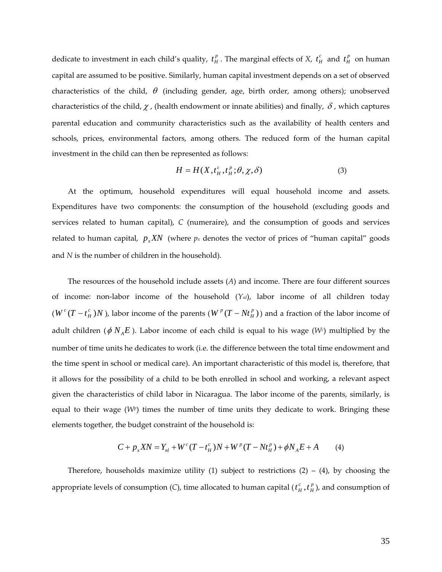dedicate to investment in each child's quality,  $t_H^p$ . The marginal effects of *X*,  $t_H^c$  and  $t_H^p$  on human capital are assumed to be positive. Similarly, human capital investment depends on a set of observed characteristics of the child,  $\theta$  (including gender, age, birth order, among others); unobserved characteristics of the child,  $\chi$ , (health endowment or innate abilities) and finally,  $\delta$ , which captures parental education and community characteristics such as the availability of health centers and schools, prices, environmental factors, among others. The reduced form of the human capital investment in the child can then be represented as follows:

$$
H = H(X, t_H^c, t_H^p; \theta, \chi, \delta)
$$
\n(3)

At the optimum, household expenditures will equal household income and assets. Expenditures have two components: the consumption of the household (excluding goods and services related to human capital), *C* (numeraire), and the consumption of goods and services related to human capital,  $p_{r}XN$  (where  $p_{r}$  denotes the vector of prices of "human capital" goods and *N* is the number of children in the household).

The resources of the household include assets (*A*) and income. There are four different sources of income: non‐labor income of the household (*Ynl*), labor income of all children today  $(W^c(T-t_H^c))$  $c(T - t_H^c)N$  ), labor income of the parents ( $W^p(T - Nt_H^p)$ ) and a fraction of the labor income of adult children ( $\phi$   $N_A$ E). Labor income of each child is equal to his wage ( $W<sup>c</sup>$ ) multiplied by the number of time units he dedicates to work (i.e. the difference between the total time endowment and the time spent in school or medical care). An important characteristic of this model is, therefore, that it allows for the possibility of a child to be both enrolled in school and working, a relevant aspect given the characteristics of child labor in Nicaragua. The labor income of the parents, similarly, is equal to their wage  $(W<sup>p</sup>)$  times the number of time units they dedicate to work. Bringing these elements together, the budget constraint of the household is:

$$
C + p_x X N = Y_{nl} + W^c (T - t_H^c) N + W^p (T - N t_H^p) + \phi N_A E + A
$$
 (4)

Therefore, households maximize utility (1) subject to restrictions  $(2) - (4)$ , by choosing the appropriate levels of consumption (C), time allocated to human capital (  $t^c_H$  ,  $t^p_H$  $t_H^c$ ,  $t_H^p$ ), and consumption of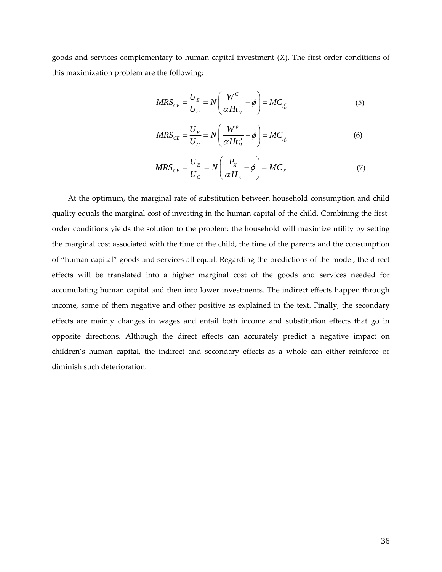goods and services complementary to human capital investment (*X*). The first-order conditions of this maximization problem are the following:

$$
MRS_{CE} = \frac{U_E}{U_C} = N \left( \frac{W^C}{\alpha H t_H^c} - \phi \right) = MC_{t_H^C}
$$
(5)

$$
MRS_{CE} = \frac{U_E}{U_C} = N \left( \frac{W^p}{\alpha H t_H^p} - \phi \right) = MC_{t_H^p}
$$
(6)

$$
MRS_{CE} = \frac{U_E}{U_C} = N \left( \frac{P_X}{\alpha H_X} - \phi \right) = MC_X \tag{7}
$$

At the optimum, the marginal rate of substitution between household consumption and child quality equals the marginal cost of investing in the human capital of the child. Combining the first‐ order conditions yields the solution to the problem: the household will maximize utility by setting the marginal cost associated with the time of the child, the time of the parents and the consumption of "human capital" goods and services all equal. Regarding the predictions of the model, the direct effects will be translated into a higher marginal cost of the goods and services needed for accumulating human capital and then into lower investments. The indirect effects happen through income, some of them negative and other positive as explained in the text. Finally, the secondary effects are mainly changes in wages and entail both income and substitution effects that go in opposite directions. Although the direct effects can accurately predict a negative impact on children's human capital, the indirect and secondary effects as a whole can either reinforce or diminish such deterioration.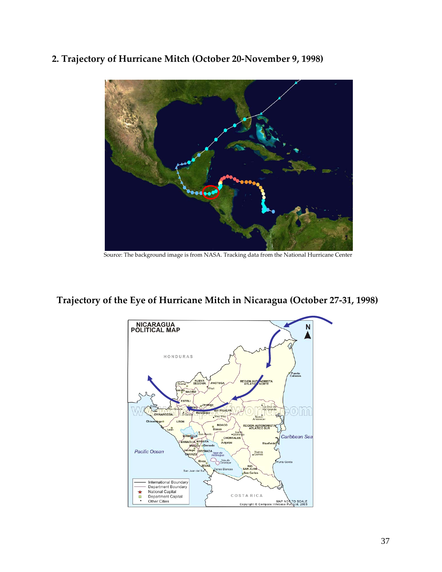**2. Trajectory of Hurricane Mitch (October 20‐November 9, 1998)**



Source: The [background](http://commons.wikimedia.org/wiki/Image:Whole_world_-_land_and_oceans.jpg) image is from [NASA.](http://en.wikipedia.org/wiki/NASA) Tracking data from the National [Hurricane](http://en.wikipedia.org/wiki/National_Hurricane_Center) Center

## **Trajectory of the Eye of Hurricane Mitch in Nicaragua (October 27‐31, 1998)**

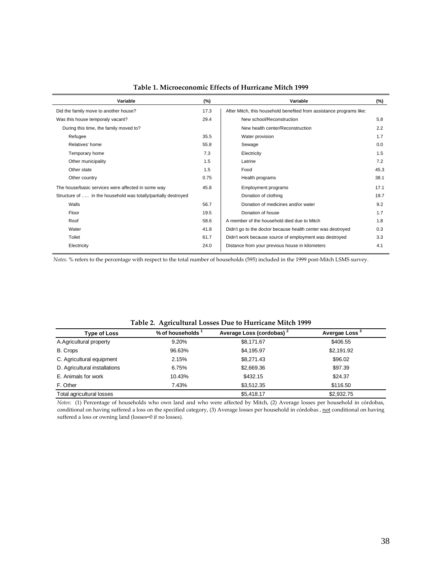| Variable                                                       | (%)  | Variable                                                             | (%)  |
|----------------------------------------------------------------|------|----------------------------------------------------------------------|------|
| Did the family move to another house?                          | 17.3 | After Mitch, this household benefited from assistance programs like: |      |
| Was this house temporaly vacant?                               | 29.4 | New school/Reconstruction                                            | 5.8  |
| During this time, the family moved to?                         |      | New health center/Reconstruction                                     | 2.2  |
| Refugee                                                        | 35.5 | Water provision                                                      | 1.7  |
| Relatives' home                                                | 55.8 | Sewage                                                               | 0.0  |
| Temporary home                                                 | 7.3  | Electricity                                                          | 1.5  |
| Other municipality                                             | 1.5  | Latrine                                                              | 7.2  |
| Other state                                                    | 1.5  | Food                                                                 | 45.3 |
| Other country                                                  | 0.75 | Health programs                                                      | 38.1 |
| The house/basic services were affected in some way             | 45.8 | <b>Employment programs</b>                                           | 17.1 |
| Structure of  in the household was totally/partially destroyed |      | Donation of clothing                                                 | 19.7 |
| Walls                                                          | 56.7 | Donation of medicines and/or water                                   | 9.2  |
| Floor                                                          | 19.5 | Donation of house                                                    | 1.7  |
| Roof                                                           | 58.6 | A member of the household died due to Mitch                          | 1.8  |
| Water                                                          | 41.8 | Didn't go to the doctor because health center was destroyed          | 0.3  |
| Toilet                                                         | 61.7 | Didn't work because source of employment was destroyed               | 3.3  |
| Electricity                                                    | 24.0 | Distance from your previous house in kilometers                      | 4.1  |

**Table 1. Microeconomic Effects of Hurricane Mitch 1999**

*Notes*. % refers to the percentage with respect to the total number of households (595) included in the 1999 post-Mitch LSMS survey.

| <b>Type of Loss</b>           | % of households 1 | Average Loss (cordobas) <sup>2</sup> | Avergae Loss <sup>3</sup> |
|-------------------------------|-------------------|--------------------------------------|---------------------------|
| A.Agricultural property       | 9.20%             | \$8,171.67                           | \$406.55                  |
| B. Crops                      | 96.63%            | \$4,195.97                           | \$2,191.92                |
| C. Agricultural equipment     | 2.15%             | \$8,271.43                           | \$96.02                   |
| D. Agricultural installations | 6.75%             | \$2,669.36                           | \$97.39                   |
| E. Animals for work           | 10.43%            | \$432.15                             | \$24.37                   |
| F. Other                      | 7.43%             | \$3.512.35                           | \$116.50                  |
| Total agricultural losses     |                   | \$5,418.17                           | \$2,932.75                |

**Table 2. Agricultural Losses Due to Hurricane Mitch 1999**

*Notes*: (1) Percentage of households who own land and who were affected by Mitch, (2) Average losses per household in córdobas, conditional on having suffered a loss on the specified category, (3) Average losses per household in córdobas, not conditional on having suffered a loss or owning land (losses=0 if no losses).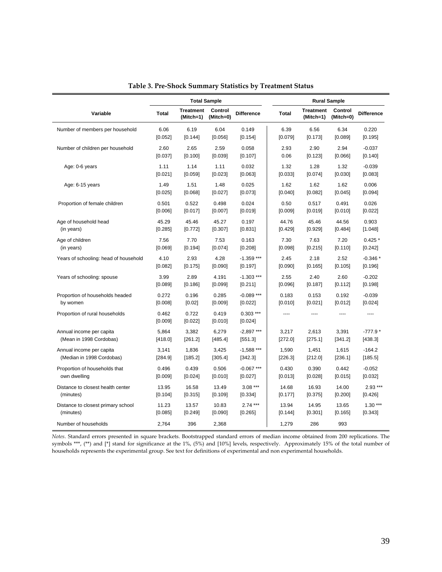|                                       |                  | <b>Total Sample</b>           |                      |                        |           |                               | <b>Rural Sample</b>  |                   |
|---------------------------------------|------------------|-------------------------------|----------------------|------------------------|-----------|-------------------------------|----------------------|-------------------|
| Variable                              | <b>Total</b>     | <b>Treatment</b><br>(Mitch=1) | Control<br>(Mitch=0) | <b>Difference</b>      | Total     | <b>Treatment</b><br>(Mitch=1) | Control<br>(Mitch=0) | <b>Difference</b> |
| Number of members per household       | 6.06             | 6.19                          | 6.04                 | 0.149                  | 6.39      | 6.56                          | 6.34                 | 0.220             |
|                                       | [0.052]          | [0.144]                       | [0.056]              | [0.154]                | [0.079]   | [0.173]                       | [0.089]              | [0.195]           |
| Number of children per household      | 2.60             | 2.65                          | 2.59                 | 0.058                  | 2.93      | 2.90                          | 2.94                 | $-0.037$          |
|                                       | [0.037]          | [0.100]                       | [0.039]              | [0.107]                | 0.06      | [0.123]                       | [0.066]              | [0.140]           |
| Age: 0-6 years                        | 1.11             | 1.14                          | 1.11                 | 0.032                  | 1.32      | 1.28                          | 1.32                 | $-0.039$          |
|                                       | [0.021]          | [0.059]                       | [0.023]              | [0.063]                | [0.033]   | [0.074]                       | [0.030]              | [0.083]           |
| Age: 6-15 years                       | 1.49             | 1.51                          | 1.48                 | 0.025                  | 1.62      | 1.62                          | 1.62                 | 0.006             |
|                                       | [0.025]          | [0.068]                       | [0.027]              | [0.073]                | [0.040]   | [0.082]                       | [0.045]              | [0.094]           |
| Proportion of female children         | 0.501            | 0.522                         | 0.498                | 0.024                  | 0.50      | 0.517                         | 0.491                | 0.026             |
|                                       | [0.006]          | [0.017]                       | [0.007]              | [0.019]                | [0.009]   | [0.019]                       | [0.010]              | [0.022]           |
| Age of household head                 | 45.29            | 45.46                         | 45.27                | 0.197                  | 44.76     | 45.46                         | 44.56                | 0.903             |
| (in years)                            | [0.285]          | [0.772]                       | [0.307]              | [0.831]                | $[0.429]$ | [0.929]                       | [0.484]              | [1.048]           |
| Age of children                       | 7.56             | 7.70                          | 7.53                 | 0.163                  | 7.30      | 7.63                          | 7.20                 | $0.425*$          |
| (in years)                            | [0.069]          | [0.194]                       | [0.074]              | [0.208]                | [0.098]   | [0.215]                       | [0.110]              | $[0.242]$         |
| Years of schooling: head of household | 4.10             | 2.93                          | 4.28                 | $-1.359$ ***           | 2.45      | 2.18                          | 2.52                 | $-0.346*$         |
|                                       | [0.082]          | [0.175]                       | [0.090]              | [0.197]                | [0.090]   | [0.165]                       | [0.105]              | [0.196]           |
| Years of schooling: spouse            | 3.99             | 2.89                          | 4.191                | $-1.303$ ***           | 2.55      | 2.40                          | 2.60                 | $-0.202$          |
|                                       | [0.089]          | [0.186]                       | [0.099]              | [0.211]                | [0.096]   | [0.187]                       | [0.112]              | [0.198]           |
| Proportion of households headed       | 0.272            | 0.196                         | 0.285                | $-0.089$ ***           | 0.183     | 0.153                         | 0.192                | $-0.039$          |
| by women                              | [0.008]          | [0.02]                        | [0.009]              | [0.022]                | [0.010]   | [0.021]                       | [0.012]              | [0.024]           |
| Proportion of rural households        | 0.462<br>[0.009] | 0.722<br>[0.022]              | 0.419<br>[0.010]     | $0.303$ ***<br>[0.024] | ----      | $---$                         | ----                 | ----              |
| Annual income per capita              | 5,864            | 3,382                         | 6,279                | $-2,897$ ***           | 3,217     | 2,613                         | 3,391                | $-777.9*$         |
| (Mean in 1998 Cordobas)               | [418.0]          | [261.2]                       | [485.4]              | [551.3]                | [272.0]   | [275.1]                       | [341.2]              | [438.3]           |
| Annual income per capita              | 3,141            | 1,836                         | 3,425                | $-1,588$ ***           | 1,590     | 1,451                         | 1,615                | $-164.2$          |
| (Median in 1998 Cordobas)             | [284.9]          | [185.2]                       | [305.4]              | [342.3]                | [226.3]   | [212.0]                       | [236.1]              | [185.5]           |
| Proportion of households that         | 0.496            | 0.439                         | 0.506                | $-0.067$ ***           | 0.430     | 0.390                         | 0.442                | $-0.052$          |
| own dwelling                          | [0.009]          | [0.024]                       | [0.010]              | [0.027]                | [0.013]   | [0.028]                       | [0.015]              | [0.032]           |
| Distance to closest health center     | 13.95            | 16.58                         | 13.49                | $3.08***$              | 14.68     | 16.93                         | 14.00                | $2.93***$         |
| (minutes)                             | [0.104]          | [0.315]                       | [0.109]              | [0.334]                | [0.177]   | [0.375]                       | [0.200]              | [0.426]           |
| Distance to closest primary school    | 11.23            | 13.57                         | 10.83                | $2.74***$              | 13.94     | 14.95                         | 13.65                | $1.30***$         |
| (minutes)                             | [0.085]          | $[0.249]$                     | [0.090]              | [0.265]                | [0.144]   | [0.301]                       | [0.165]              | [0.343]           |
| Number of households                  | 2.764            | 396                           | 2,368                |                        | 1,279     | 286                           | 993                  |                   |

**Table 3. Pre‐Shock Summary Statistics by Treatment Status**

*Notes*. Standard errors presented in square brackets. Bootstrapped standard errors of median income obtained from 200 replications. The symbols \*\*\*, (\*\*) and [\*] stand for significance at the 1%, (5%) and [10%] levels, respectively. Approximately 15% of the total number of households represents the experimental group. See text for definitions of experimental and non experimental households.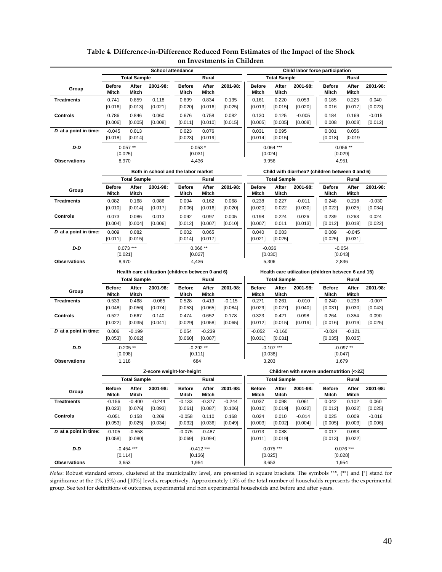|                       |                                                    | <b>School attendance</b> |                                     |                     |                        |                  | Child labor force participation |                       |                     |                                                     |                       |                       |
|-----------------------|----------------------------------------------------|--------------------------|-------------------------------------|---------------------|------------------------|------------------|---------------------------------|-----------------------|---------------------|-----------------------------------------------------|-----------------------|-----------------------|
|                       |                                                    | <b>Total Sample</b>      |                                     |                     | Rural                  |                  |                                 | <b>Total Sample</b>   |                     |                                                     | Rural                 |                       |
| Group                 | <b>Before</b>                                      | After                    | 2001-98:                            | <b>Before</b>       | After                  | 2001-98:         | <b>Before</b>                   | After                 | 2001-98:            | <b>Before</b>                                       | After                 | 2001-98:              |
|                       | <b>Mitch</b>                                       | Mitch                    |                                     | <b>Mitch</b>        | Mitch                  |                  | <b>Mitch</b>                    | Mitch                 |                     | <b>Mitch</b>                                        | Mitch                 |                       |
| <b>Treatments</b>     | 0.741                                              | 0.859                    | 0.118                               | 0.699               | 0.834                  | 0.135            | 0.161                           | 0.220                 | 0.059               | 0.185                                               | 0.225                 | 0.040                 |
|                       | [0.016]                                            | [0.013]                  | [0.021]                             | [0.020]             | [0.016]                | [0.025]          | [0.013]                         | [0.015]               | [0.020]             | 0.016                                               | [0.017]               | [0.023]               |
| <b>Controls</b>       | 0.786                                              | 0.846                    | 0.060                               | 0.676               | 0.758                  | 0.082            | 0.130                           | 0.125                 | $-0.005$            | 0.184                                               | 0.169                 | $-0.015$              |
|                       | [0.006]                                            | [0.005]                  | [0.008]                             | [0.011]             | [0.010]                | [0.015]          | [0.005]                         | [0.005]               | [0.008]             | 0.008                                               | [0.008]               | [0.012]               |
| D at a point in time: | $-0.045$                                           | 0.013                    |                                     | 0.023               | 0.076                  |                  | 0.031                           | 0.095                 |                     | 0.001                                               | 0.056                 |                       |
|                       | [0.018]                                            | [0.014]                  |                                     | [0.023]             | [0.019]                |                  | [0.014]                         | [0.015]               |                     | [0.018]                                             | [0.019]               |                       |
| D-D                   |                                                    | $0.057**$                |                                     |                     | $0.053*$               |                  |                                 | $0.064***$            |                     |                                                     | $0.056**$             |                       |
|                       |                                                    | [0.025]                  |                                     |                     | [0.031]                |                  |                                 | [0.024]               |                     |                                                     | [0.029]               |                       |
| <b>Observations</b>   |                                                    | 8,970                    |                                     | 4,436               |                        |                  |                                 | 9,956                 |                     |                                                     | 4,951                 |                       |
|                       |                                                    |                          | Both in school and the labor market |                     |                        |                  |                                 |                       |                     | Child with diarrhea? (children between 0 and 6)     |                       |                       |
|                       |                                                    | <b>Total Sample</b>      |                                     |                     | Rural                  |                  |                                 | <b>Total Sample</b>   |                     |                                                     | Rural                 |                       |
|                       | <b>Before</b>                                      | After                    | 2001-98:                            | <b>Before</b>       | After                  | 2001-98:         | <b>Before</b>                   | After                 | 2001-98:            | <b>Before</b>                                       | After                 | 2001-98:              |
| Group                 | Mitch                                              | Mitch                    |                                     | Mitch               | Mitch                  |                  | Mitch                           | Mitch                 |                     | Mitch                                               | Mitch                 |                       |
| <b>Treatments</b>     | 0.082                                              | 0.168                    | 0.086                               | 0.094               | 0.162                  | 0.068            | 0.238                           | 0.227                 | $-0.011$            | 0.248                                               | 0.218                 | $-0.030$              |
|                       | [0.010]                                            | $[0.014]$                | [0.017]                             | [0.006]             | [0.016]                | [0.020]          | [0.020]                         | 0.022                 | [0.030]             | [0.022]                                             | [0.025]               | [0.034]               |
| <b>Controls</b>       | 0.073                                              | 0.086                    | 0.013                               | 0.092               | 0.097                  | 0.005            | 0.198                           | 0.224                 | 0.026               | 0.239                                               | 0.263                 | 0.024                 |
|                       | [0.004]                                            | [0.004]                  | [0.006]                             | [0.012]             | [0.007]                | [0.010]          | [0.007]                         | 0.011                 | [0.013]             | [0.012]                                             | [0.018]               | [0.022]               |
| D at a point in time: | 0.009                                              | 0.082                    |                                     | 0.002               | 0.065                  |                  | 0.040                           | 0.003                 |                     | 0.009                                               | $-0.045$              |                       |
|                       | [0.011]                                            | [0.015]                  |                                     | [0.014]             | [0.017]                |                  | [0.021]                         | [0.025]               |                     | [0.025]                                             | [0.031]               |                       |
| D-D                   |                                                    | $0.073***$               |                                     |                     | $0.066**$              |                  |                                 | $-0.036$              |                     |                                                     | $-0.054$              |                       |
|                       |                                                    | [0.021]                  |                                     |                     | [0.027]                |                  |                                 | [0.030]               |                     |                                                     | [0.043]               |                       |
| <b>Observations</b>   |                                                    | 8,970                    |                                     | 4,436               |                        |                  |                                 | 5,306                 |                     | 2,836                                               |                       |                       |
|                       | Health care utilization (children between 0 and 6) |                          |                                     |                     |                        |                  |                                 |                       |                     |                                                     |                       |                       |
|                       |                                                    |                          |                                     |                     |                        |                  |                                 |                       |                     | Health care utilization (children between 6 and 15) |                       |                       |
|                       |                                                    | <b>Total Sample</b>      |                                     |                     | Rural                  |                  |                                 | <b>Total Sample</b>   |                     |                                                     | Rural                 |                       |
|                       | Before                                             | After                    | 2001-98:                            | <b>Before</b>       | After                  | 2001-98:         | <b>Before</b>                   | After                 | 2001-98:            | <b>Before</b>                                       | After                 | 2001-98:              |
| Group                 | Mitch                                              | Mitch                    |                                     | Mitch               | Mitch                  |                  | Mitch                           | Mitch                 |                     | Mitch                                               | Mitch                 |                       |
| <b>Treatments</b>     | 0.533                                              | 0.468                    | $-0.065$                            | 0.528               | 0.413                  | $-0.115$         | 0.271                           | 0.261                 | $-0.010$            | 0.240                                               | 0.233                 | $-0.007$              |
|                       | [0.048]                                            | $[0.056]$                | $[0.074]$                           | [0.053]             | [0.065]                | $[0.084]$        | [0.029]                         | [0.027]               | [0.040]             | [0.031]                                             | [0.030]               | [0.043]               |
| <b>Controls</b>       | 0.527                                              | 0.667                    | 0.140                               | 0.474               | 0.652                  | 0.178            | 0.323                           | 0.421                 | 0.098               | 0.264                                               | 0.354                 | 0.090                 |
|                       | [0.022]                                            | [0.035]                  | [0.041]                             | [0.029]             | [0.058]                | [0.065]          | [0.012]                         | [0.015]               | [0.019]             | [0.016]                                             | [0.019]               | [0.025]               |
| D at a point in time: | 0.006                                              | $-0.199$                 |                                     | 0.054               | $-0.239$               |                  | $-0.052$                        | $-0.160$              |                     | $-0.024$                                            | $-0.121$              |                       |
|                       | [0.053]                                            | [0.062]                  |                                     | [0.060]             | [0.087]                |                  | [0.031]                         | [0.031]               |                     | [0.035]                                             | [0.035]               |                       |
| D-D                   |                                                    | $-0.205**$               |                                     |                     | $-0.292**$             |                  |                                 | $-0.107$ ***          |                     |                                                     | $-0.097**$            |                       |
|                       |                                                    | [0.098]                  |                                     |                     | [0.111]                |                  |                                 | [0.038]               |                     |                                                     | [0.047]               |                       |
| <b>Observations</b>   |                                                    | 1,118                    |                                     |                     | 684                    |                  |                                 | 3,203                 |                     |                                                     | 1,679                 |                       |
|                       |                                                    |                          | Z-score weight-for-height           |                     |                        |                  |                                 |                       |                     | Children with severe undernutrition (<-2Z)          |                       |                       |
|                       |                                                    | <b>Total Sample</b>      |                                     |                     | Rural                  |                  |                                 | <b>Total Sample</b>   |                     |                                                     | Rural                 |                       |
| Group                 | Betore                                             | After                    | 2001-98:                            | <b>Before</b>       | After                  | 2001-98.         | Before                          | Atter                 | 2001-98:            | <b>Before</b>                                       | Atter                 | 2001-98:              |
|                       | Mitch                                              | Mitch                    |                                     | Mitch               | Mitch                  |                  | Mitch                           | Mitch                 |                     | Mitch                                               | Mitch                 |                       |
| <b>Treatments</b>     | $-0.156$                                           | $-0.400$<br>[0.076]      | $-0.244$                            | $-0.133$            | $-0.377$               | $-0.244$         | 0.037                           | 0.098                 | 0.061               | 0.042                                               | 0.102                 | 0.060                 |
|                       | [0.023]                                            |                          | $[0.093]$                           | [0.061]             | [0.087]                | [0.106]          | [0.010]                         | [0.019]               | [0.022]             | [0.012]                                             | [0.022]               | $[0.025]$<br>$-0.016$ |
| Controls              | $-0.051$<br>[0.053]                                | 0.158<br>[0.025]         | 0.209<br>[0.034]                    | $-0.058$<br>[0.032] | 0.110<br>[0.036]       | 0.168<br>[0.049] | 0.024<br>[0.003]                | 0.010<br>[0.002]      | $-0.014$<br>[0.004] | 0.025<br>[0.005]                                    | 0.009<br>[0.003]      | [0.006]               |
| D at a point in time: |                                                    |                          |                                     |                     |                        |                  |                                 |                       |                     |                                                     |                       |                       |
|                       | $-0.105$<br>[0.058]                                | $-0.558$<br>[0.080]      |                                     | $-0.075$<br>[0.069] | $-0.487$<br>[0.094]    |                  | 0.013<br>[0.011]                | 0.088<br>[0.019]      |                     | 0.017<br>[0.013]                                    | 0.093<br>[0.022]      |                       |
|                       |                                                    |                          |                                     |                     |                        |                  |                                 |                       |                     |                                                     |                       |                       |
| D-D                   |                                                    | $-0.454$ ***<br>[0.114]  |                                     |                     | $-0.412***$<br>[0.136] |                  |                                 | $0.075***$<br>[0.025] |                     |                                                     | $0.076***$<br>[0.028] |                       |

### **Table 4. Difference‐in‐Difference Reduced Form Estimates of the Impact of the Shock on Investments in Children**

*Notes*: Robust standard errors, clustered at the municipality level, are presented in square brackets. The symbols \*\*\*, (\*\*) and [\*] stand for significance at the 1%, (5%) and [10%] levels, respectively. Approximately 15% of the total number of households represents the experimental group. See text for definitions of outcomes, experimental and non experimental households and before and after years.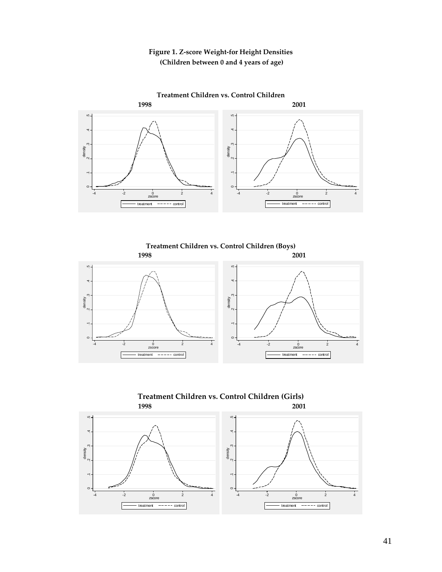## **Figure 1. Z‐score Weight‐for Height Densities (Children between 0 and 4 years of age)**



**Treatment Children vs. Control Children** 





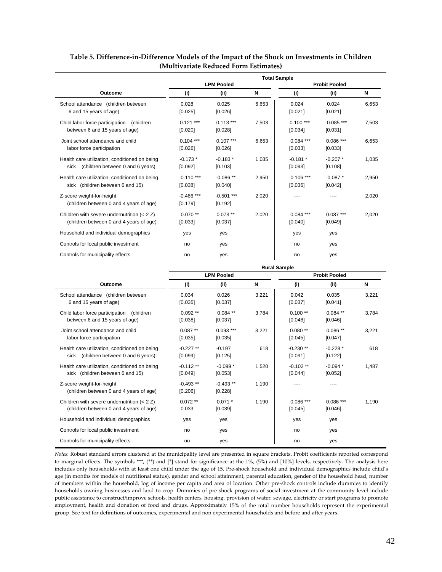|                                                                                        | <b>Total Sample</b>     |                         |       |                         |                       |       |  |  |  |
|----------------------------------------------------------------------------------------|-------------------------|-------------------------|-------|-------------------------|-----------------------|-------|--|--|--|
|                                                                                        |                         | <b>LPM Pooled</b>       |       |                         | <b>Probit Pooled</b>  |       |  |  |  |
| Outcome                                                                                | (i)                     | (ii)                    | N     | (i)                     | (ii)                  | N     |  |  |  |
| School attendance (children between<br>6 and 15 years of age)                          | 0.028<br>[0.025]        | 0.025<br>[0.026]        | 6.653 | 0.024<br>[0.021]        | 0.024<br>[0.021]      | 6.653 |  |  |  |
| Child labor force participation<br>(children<br>between 6 and 15 years of age)         | $0.121***$<br>[0.020]   | $0.113***$<br>[0.028]   | 7,503 | $0.100***$<br>[0.034]   | $0.085***$<br>[0.031] | 7,503 |  |  |  |
| Joint school attendance and child<br>labor force participation                         | $0.104***$<br>[0.026]   | $0.107***$<br>[0.026]   | 6.653 | $0.084***$<br>[0.033]   | $0.086***$<br>[0.033] | 6.653 |  |  |  |
| Health care utilization, conditioned on being<br>sick (children between 0 and 6 years) | $-0.173*$<br>[0.092]    | $-0.183*$<br>[0.103]    | 1,035 | $-0.181*$<br>[0.093]    | $-0.207*$<br>[0.108]  | 1,035 |  |  |  |
| Health care utilization, conditioned on being<br>sick (children between 6 and 15)      | $-0.110$ ***<br>[0.038] | $-0.086**$<br>[0.040]   | 2,950 | $-0.106$ ***<br>[0.036] | $-0.087*$<br>[0.042]  | 2,950 |  |  |  |
| Z-score weight-for-height<br>(children between 0 and 4 years of age)                   | $-0.466$ ***<br>[0.179] | $-0.501$ ***<br>[0.192] | 2.020 |                         |                       | 2,020 |  |  |  |
| Children with severe undernutrition (<-2 Z)<br>(children between 0 and 4 years of age) | $0.070**$<br>[0.033]    | $0.073**$<br>[0.037]    | 2,020 | $0.084***$<br>[0.040]   | $0.087***$<br>[0.049] | 2,020 |  |  |  |
| Household and individual demographics                                                  | yes                     | yes                     |       | yes                     | yes                   |       |  |  |  |
| Controls for local public investment                                                   | no                      | yes                     |       | no                      | yes                   |       |  |  |  |
| Controls for municipality effects                                                      | no                      | yes                     |       | no                      | yes                   |       |  |  |  |

#### **Table 5. Difference‐in‐Difference Models of the Impact of the Shock on Investments in Children (Multivariate Reduced Form Estimates)**

|                                                                                        | <b>Rural Sample</b>   |                       |       |                       |                       |       |  |  |  |  |
|----------------------------------------------------------------------------------------|-----------------------|-----------------------|-------|-----------------------|-----------------------|-------|--|--|--|--|
|                                                                                        |                       | <b>LPM Pooled</b>     |       |                       | <b>Probit Pooled</b>  |       |  |  |  |  |
| Outcome                                                                                | (i)                   | (ii)                  | N     | (i)                   | (ii)                  | N     |  |  |  |  |
| School attendance (children between<br>6 and 15 years of age)                          | 0.034<br>[0.035]      | 0.026<br>[0.037]      | 3,221 | 0.042<br>[0.037]      | 0.035<br>[0.041]      | 3,221 |  |  |  |  |
| Child labor force participation<br>(children<br>between 6 and 15 years of age)         | $0.092**$<br>[0.038]  | $0.084$ **<br>[0.037] | 3.784 | $0.100**$<br>[0.048]  | $0.084$ **<br>[0.046] | 3.784 |  |  |  |  |
| Joint school attendance and child<br>labor force participation                         | $0.087**$<br>[0.035]  | $0.093***$<br>[0.035] | 3,221 | $0.080**$<br>[0.045]  | $0.086**$<br>[0.047]  | 3,221 |  |  |  |  |
| Health care utilization, conditioned on being<br>sick (children between 0 and 6 years) | $-0.227**$<br>[0.099] | $-0.197$<br>[0.125]   | 618   | $-0.230**$<br>[0.091] | $-0.228*$<br>[0.122]  | 618   |  |  |  |  |
| Health care utilization, conditioned on being<br>sick (children between 6 and 15)      | $-0.112**$<br>[0.049] | $-0.099*$<br>[0.053]  | 1,520 | $-0.102**$<br>[0.044] | $-0.094*$<br>[0.052]  | 1,487 |  |  |  |  |
| Z-score weight-for-height<br>(children between 0 and 4 years of age)                   | $-0.493**$<br>[0.206] | $-0.493**$<br>[0.228] | 1,190 |                       |                       |       |  |  |  |  |
| Children with severe undernutrition (<-2 Z)<br>(children between 0 and 4 years of age) | $0.072**$<br>0.033    | $0.071*$<br>[0.039]   | 1,190 | $0.086***$<br>[0.045] | $0.086***$<br>[0.046] | 1.190 |  |  |  |  |
| Household and individual demographics                                                  | yes                   | yes                   |       | yes                   | yes                   |       |  |  |  |  |
| Controls for local public investment                                                   | no                    | yes                   |       | no                    | yes                   |       |  |  |  |  |
| Controls for municipality effects                                                      | no                    | yes                   |       | no                    | yes                   |       |  |  |  |  |

*Notes*: Robust standard errors clustered at the municipality level are presented in square brackets. Probit coefficients reported correspond to marginal effects. The symbols \*\*\*, (\*\*) and [\*] stand for significance at the 1%, (5%) and [10%] levels, respectively. The analysis here includes only households with at least one child under the age of 15. Pre-shock household and individual demographics include child's age (in months for models of nutritional status), gender and school attainment, parental education, gender of the household head, number of members within the household, log of income per capita and area of location. Other pre‐shock controls include dummies to identify households owning businesses and land to crop. Dummies of pre-shock programs of social investment at the community level include public assistance to construct/improve schools, health centers, housing, provision of water, sewage, electricity or start programs to promote employment, health and donation of food and drugs. Approximately 15% of the total number households represent the experimental group. See text for definitions of outcomes, experimental and non experimental households and before and after years.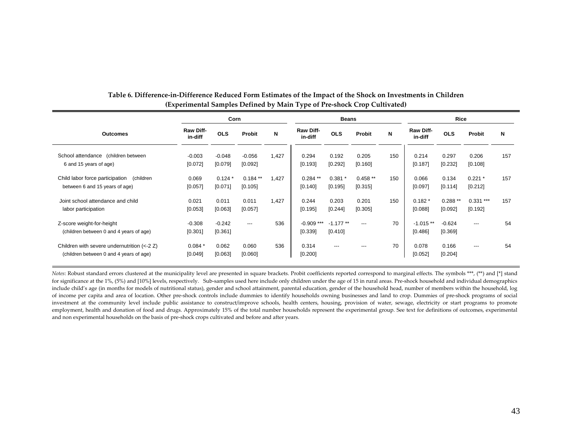|                                                                                        |                      | Corn                |                      |       |                             | <b>Beans</b>          |                      |     |                       | Rice                 |                       |     |  |
|----------------------------------------------------------------------------------------|----------------------|---------------------|----------------------|-------|-----------------------------|-----------------------|----------------------|-----|-----------------------|----------------------|-----------------------|-----|--|
| <b>Outcomes</b>                                                                        | Raw Diff-<br>in-diff | <b>OLS</b>          | Probit               | N     | <b>Raw Diff-</b><br>in-diff | <b>OLS</b>            | Probit               | N   | Raw Diff-<br>in-diff  | <b>OLS</b>           | Probit                | N   |  |
| School attendance (children between)<br>6 and 15 years of age)                         | $-0.003$<br>[0.072]  | $-0.048$<br>[0.079] | $-0.056$<br>[0.092]  | 1,427 | 0.294<br>[0.193]            | 0.192<br>[0.292]      | 0.205<br>[0.160]     | 150 | 0.214<br>[0.187]      | 0.297<br>[0.232]     | 0.206<br>[0.108]      | 157 |  |
| Child labor force participation<br>(children<br>between 6 and 15 years of age)         | 0.069<br>[0.057]     | $0.124*$<br>[0.071] | $0.184**$<br>[0.105] | 1,427 | $0.284**$<br>[0.140]        | $0.381*$<br>[0.195]   | $0.458**$<br>[0.315] | 150 | 0.066<br>[0.097]      | 0.134<br>[0.114]     | $0.221*$<br>[0.212]   | 157 |  |
| Joint school attendance and child<br>labor participation                               | 0.021<br>[0.053]     | 0.011<br>[0.063]    | 0.011<br>[0.057]     | 1,427 | 0.244<br>[0.195]            | 0.203<br>[0.244]      | 0.201<br>[0.305]     | 150 | $0.182*$<br>[0.088]   | $0.288**$<br>[0.092] | $0.331***$<br>[0.192] | 157 |  |
| Z-score weight-for-height<br>(children between 0 and 4 years of age)                   | $-0.308$<br>[0.301]  | $-0.242$<br>[0.361] | $---$                | 536   | $-0.909$ ***<br>[0.339]     | $-1.177**$<br>[0.410] | $---$                | 70  | $-1.015**$<br>[0.486] | $-0.624$<br>[0.369]  | $---$                 | 54  |  |
| Children with severe undernutrition (<-2 Z)<br>(children between 0 and 4 years of age) | $0.084*$<br>[0.049]  | 0.062<br>[0.063]    | 0.060<br>[0.060]     | 536   | 0.314<br>[0.200]            | $---$                 | $---$                | 70  | 0.078<br>[0.052]      | 0.166<br>[0.204]     | $---$                 | 54  |  |

#### Table 6. Difference-in-Difference Reduced Form Estimates of the Impact of the Shock on Investments in Children **(Experimental Samples Defined by Main Type of Pre‐shock Crop Cultivated)**

*Notes*: Robust standard errors clustered at the municipality level are presented in square brackets. Probit coefficients reported correspond to marginal effects. The symbols \*\*\*, (\*\*) and [\*] stand for significance at the 1%, (5%) and [10%] levels, respectively. Sub‐samples used here include only children under the age of 15 in rural areas. Pre‐shock household and individual demographics include child's age (in months for models of nutritional status), gender and school attainment, parental education, gender of the household head, number of members within the household, log of income per capita and area of location. Other pre‐shock controls include dummies to identify households owning businesses and land to crop. Dummies of pre‐shock programs of social investment at the community level include public assistance to construct/improve schools, health centers, housing, provision of water, sewage, electricity or start programs to promote employment, health and donation of food and drugs. Approximately 15% of the total number households represent the experimental group. See text for definitions of outcomes, experimental and non experimental households on the basis of pre‐shock crops cultivated and before and after years.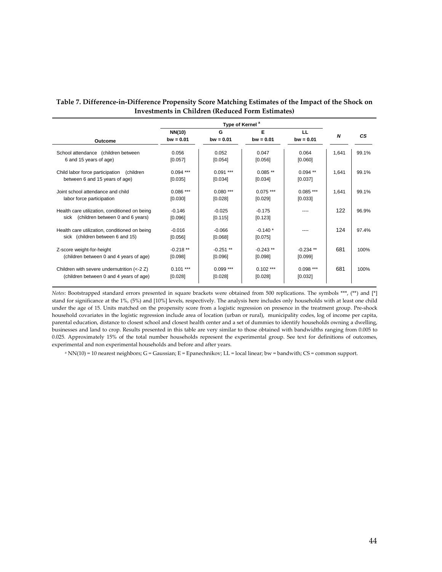| Table 7. Difference-in-Difference Propensity Score Matching Estimates of the Impact of the Shock on |
|-----------------------------------------------------------------------------------------------------|
| Investments in Children (Reduced Form Estimates)                                                    |

| Outcome                                                                                              | NN(10)<br>$bw = 0.01$  | G<br>$bw = 0.01$      | Е<br>$bw = 0.01$      | LL<br>$bw = 0.01$      | N     | CS.   |
|------------------------------------------------------------------------------------------------------|------------------------|-----------------------|-----------------------|------------------------|-------|-------|
| School attendance (children between)<br>6 and 15 years of age)                                       | 0.056<br>[0.057]       | 0.052<br>[0.054]      | 0.047<br>[0.056]      | 0.064<br>[0.060]       | 1,641 | 99.1% |
| Child labor force participation<br>(children<br>between 6 and 15 years of age)                       | $0.094$ ***<br>[0.035] | $0.091***$<br>[0.034] | $0.085**$<br>[0.034]  | $0.094$ **<br>[0.037]  | 1,641 | 99.1% |
| Joint school attendance and child<br>labor force participation                                       | $0.086***$<br>[0.030]  | $0.080***$<br>[0.028] | $0.075***$<br>[0.029] | $0.085***$<br>[0.033]  | 1,641 | 99.1% |
| Health care utilization, conditioned on being<br>sick (children between 0 and 6 years)               | $-0.146$<br>[0.096]    | $-0.025$<br>[0.115]   | $-0.175$<br>[0.123]   |                        | 122   | 96.9% |
| Health care utilization, conditioned on being<br>sick (children between 6 and 15)                    | $-0.016$<br>[0.056]    | $-0.066$<br>[0.068]   | $-0.140*$<br>[0.075]  |                        | 124   | 97.4% |
| Z-score weight-for-height<br>(children between 0 and 4 years of age)                                 | $-0.218**$<br>[0.098]  | $-0.251**$<br>[0.096] | $-0.243**$<br>[0.098] | $-0.234$ **<br>[0.099] | 681   | 100%  |
| Children with severe undernutrition $\left( < -2 \right)$<br>(children between 0 and 4 years of age) | $0.101***$<br>[0.028]  | $0.099***$<br>[0.028] | $0.102***$<br>[0.028] | $0.098***$<br>[0.032]  | 681   | 100%  |

*Notes*: Bootstrapped standard errors presented in square brackets were obtained from 500 replications. The symbols \*\*\*, (\*\*) and [\*] stand for significance at the 1%, (5%) and [10%] levels, respectively. The analysis here includes only households with at least one child under the age of 15. Units matched on the propensity score from a logistic regression on presence in the treatment group. Pre‐shock household covariates in the logistic regression include area of location (urban or rural), municipality codes, log of income per capita, parental education, distance to closest school and closest health center and a set of dummies to identify households owning a dwelling, businesses and land to crop. Results presented in this table are very similar to those obtained with bandwidths ranging from 0.005 to 0.025. Approximately 15% of the total number households represent the experimental group. See text for definitions of outcomes, experimental and non experimental households and before and after years.

 $a$  NN(10) = 10 nearest neighbors; G = Gaussian; E = Epanechnikov; LL = local linear; bw = bandwith; CS = common support.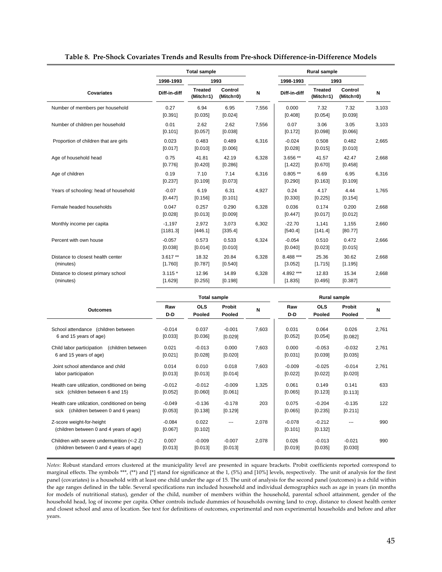|  |  |  |  |  |  |  | Table 8. Pre-Shock Covariates Trends and Results from Pre-shock Difference-in-Difference Models |
|--|--|--|--|--|--|--|-------------------------------------------------------------------------------------------------|
|--|--|--|--|--|--|--|-------------------------------------------------------------------------------------------------|

|                                                 |                      | <b>Total sample</b>         |                      |       |                      | <b>Rural sample</b>         |                      |       |
|-------------------------------------------------|----------------------|-----------------------------|----------------------|-------|----------------------|-----------------------------|----------------------|-------|
|                                                 | 1998-1993            |                             | 1993                 |       | 1998-1993            |                             | 1993                 |       |
| <b>Covariates</b>                               | Diff-in-diff         | <b>Treated</b><br>(Mitch=1) | Control<br>(Mitch=0) | N     | Diff-in-diff         | <b>Treated</b><br>(Mitch=1) | Control<br>(Mitch=0) | N     |
| Number of members per household                 | 0.27<br>[0.391]      | 6.94<br>[0.035]             | 6.95<br>[0.024]      | 7,556 | 0.000<br>[0.408]     | 7.32<br>[0.054]             | 7.32<br>[0.039]      | 3,103 |
| Number of children per household                | 0.01<br>[0.101]      | 2.62<br>[0.057]             | 2.62<br>[0.038]      | 7,556 | 0.07<br>[0.172]      | 3.06<br>[0.098]             | 3.05<br>[0.066]      | 3,103 |
| Proportion of children that are girls           | 0.023<br>[0.017]     | 0.483<br>[0.010]            | 0.489<br>[0.006]     | 6,316 | $-0.024$<br>[0.028]  | 0.508<br>[0.015]            | 0.482<br>[0.010]     | 2,665 |
| Age of household head                           | 0.75<br>[0.776]      | 41.81<br>[0.420]            | 42.19<br>[0.286]     | 6,328 | $3.656**$<br>[1.422] | 41.57<br>[0.670]            | 42.47<br>[0.458]     | 2,668 |
| Age of children                                 | 0.19<br>[0.237]      | 7.10<br>[0.109]             | 7.14<br>[0.073]      | 6,316 | $0.805**$<br>[0.290] | 6.69<br>[0.163]             | 6.95<br>[0.109]      | 6,316 |
| Years of schooling: head of household           | $-0.07$<br>[0.447]   | 6.19<br>[0.156]             | 6.31<br>[0.101]      | 4,927 | 0.24<br>[0.330]      | 4.17<br>[0.225]             | 4.44<br>[0.154]      | 1,765 |
| Female headed households                        | 0.047<br>[0.028]     | 0.257<br>[0.013]            | 0.290<br>[0.009]     | 6,328 | 0.036<br>[0.447]     | 0.174<br>[0.017]            | 0.200<br>[0.012]     | 2,668 |
| Monthly income per capita                       | $-1,197$<br>[1181.3] | 2,972<br>[446.1]            | 3,073<br>[335.4]     | 6,302 | $-22.70$<br>[540.4]  | 1,141<br>[141.4]            | 1,155<br>[80.77]     | 2,660 |
| Percent with own house                          | $-0.057$<br>[0.038]  | 0.573<br>[0.014]            | 0.533<br>[0.010]     | 6,324 | $-0.054$<br>[0.040]  | 0.510<br>[0.023]            | 0.472<br>[0.015]     | 2,666 |
| Distance to closest health center<br>(minutes)  | $3.617**$<br>[1.760] | 18.32<br>[0.787]            | 20.84<br>[0.540]     | 6,328 | 8.488 ***<br>[3.052] | 25.36<br>[1.715]            | 30.62<br>[1.195]     | 2,668 |
| Distance to closest primary school<br>(minutes) | $3.115*$<br>[1.629]  | 12.96<br>[0.255]            | 14.89<br>[0.198]     | 6,328 | 4.892 ***<br>[1.835] | 12.83<br>[0.495]            | 15.34<br>[0.387]     | 2,668 |

|                                                                                           |                     | <b>Total sample</b>  |                     |       | <b>Rural sample</b> |                      |                     |       |  |
|-------------------------------------------------------------------------------------------|---------------------|----------------------|---------------------|-------|---------------------|----------------------|---------------------|-------|--|
| <b>Outcomes</b>                                                                           | Raw<br>D-D          | <b>OLS</b><br>Pooled | Probit<br>Pooled    | N     | Raw<br>D-D          | <b>OLS</b><br>Pooled | Probit<br>Pooled    | N     |  |
| School attendance (children between)<br>6 and 15 years of age)                            | $-0.014$<br>[0.033] | 0.037<br>[0.036]     | $-0.001$<br>[0.029] | 7,603 | 0.031<br>[0.052]    | 0.064<br>[0.054]     | 0.026<br>[0.082]    | 2,761 |  |
| Child labor participation<br>(children between<br>6 and 15 years of age)                  | 0.021<br>[0.021]    | $-0.013$<br>[0.028]  | 0.000<br>[0.020]    | 7,603 | 0.000<br>[0.031]    | $-0.053$<br>[0.039]  | $-0.032$<br>[0.035] | 2,761 |  |
| Joint school attendance and child<br>labor participation                                  | 0.014<br>[0.013]    | 0.010<br>[0.013]     | 0.018<br>[0.014]    | 7,603 | $-0.009$<br>[0.022] | $-0.025$<br>[0.022]  | $-0.014$<br>[0.020] | 2,761 |  |
| Health care utilization, conditioned on being<br>sick (children between 6 and 15)         | $-0.012$<br>[0.052] | $-0.012$<br>[0.060]  | $-0.009$<br>[0.061] | 1,325 | 0.061<br>[0.065]    | 0.149<br>[0.123]     | 0.141<br>[0.113]    | 633   |  |
| Health care utilization, conditioned on being<br>(children between 0 and 6 years)<br>sick | $-0.049$<br>[0.053] | $-0.136$<br>[0.138]  | $-0.178$<br>[0.129] | 203   | 0.075<br>[0.065]    | $-0.204$<br>[0.235]  | $-0.135$<br>[0.211] | 122   |  |
| Z-score weight-for-height<br>(children between 0 and 4 years of age)                      | $-0.084$<br>[0.067] | 0.022<br>[0.102]     |                     | 2,078 | $-0.078$<br>[0.101] | $-0.212$<br>[0.132]  |                     | 990   |  |
| Children with severe undernutrition (<-2 Z)<br>(children between 0 and 4 years of age)    | 0.007<br>[0.013]    | $-0.009$<br>[0.013]  | $-0.007$<br>[0.013] | 2,078 | 0.026<br>[0.019]    | $-0.013$<br>[0.035]  | $-0.021$<br>[0.030] | 990   |  |

*Notes*: Robust standard errors clustered at the municipality level are presented in square brackets. Probit coefficients reported correspond to marginal effects. The symbols \*\*\*, (\*\*) and [\*] stand for significance at the 1, (5%) and [10%] levels, respectively. The unit of analysis for the first panel (covariates) is a household with at least one child under the age of 15. The unit of analysis for the second panel (outcomes) is a child within the age ranges defined in the table. Several specifications run included household and individual demographics such as age in years (in months for models of nutritional status), gender of the child, number of members within the household, parental school attainment, gender of the household head, log of income per capita. Other controls include dummies of households owning land to crop, distance to closest health center and closest school and area of location. See text for definitions of outcomes, experimental and non experimental households and before and after years.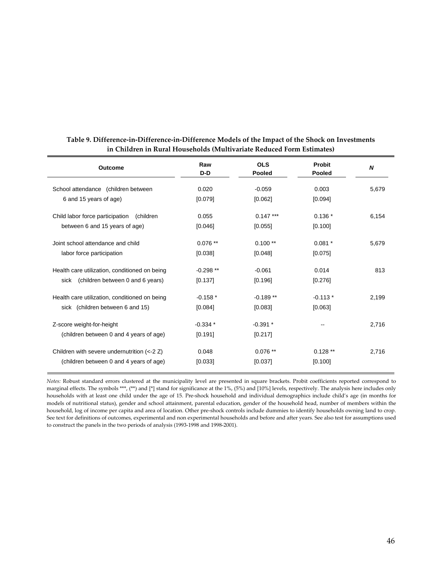| Raw<br>D-D | <b>OLS</b><br><b>Pooled</b> | <b>Probit</b><br>Pooled | N       |
|------------|-----------------------------|-------------------------|---------|
| 0.020      | $-0.059$                    | 0.003                   | 5,679   |
| [0.079]    | [0.062]                     | [0.094]                 |         |
| 0.055      | $0.147***$                  | $0.136*$                | 6,154   |
| [0.046]    | [0.055]                     | [0.100]                 |         |
| $0.076**$  | $0.100**$                   | $0.081 *$               | 5,679   |
| [0.038]    | [0.048]                     | [0.075]                 |         |
| $-0.298**$ | $-0.061$                    | 0.014                   | 813     |
| [0.137]    | [0.196]                     | [0.276]                 |         |
| $-0.158*$  | $-0.189**$                  | $-0.113*$               | 2,199   |
| [0.084]    | [0.083]                     | [0.063]                 |         |
| $-0.334*$  | $-0.391$ *                  |                         | 2,716   |
| [0.191]    | [0.217]                     |                         |         |
| 0.048      | $0.076**$                   | $0.128**$               | 2,716   |
|            | [0.033]                     | [0.037]                 | [0.100] |

#### Table 9. Difference-in-Difference-in-Difference Models of the Impact of the Shock on Investments **in Children in Rural Households (Multivariate Reduced Form Estimates)**

*Notes:* Robust standard errors clustered at the municipality level are presented in square brackets. Probit coefficients reported correspond to marginal effects. The symbols \*\*\*, (\*\*) and [\*] stand for significance at the 1%, (5%) and [10%] levels, respectively. The analysis here includes only households with at least one child under the age of 15. Pre‐shock household and individual demographics include child's age (in months for models of nutritional status), gender and school attainment, parental education, gender of the household head, number of members within the household, log of income per capita and area of location. Other pre‐shock controls include dummies to identify households owning land to crop. See text for definitions of outcomes, experimental and non experimental households and before and after years. See also test for assumptions used to construct the panels in the two periods of analysis (1993‐1998 and 1998‐2001).